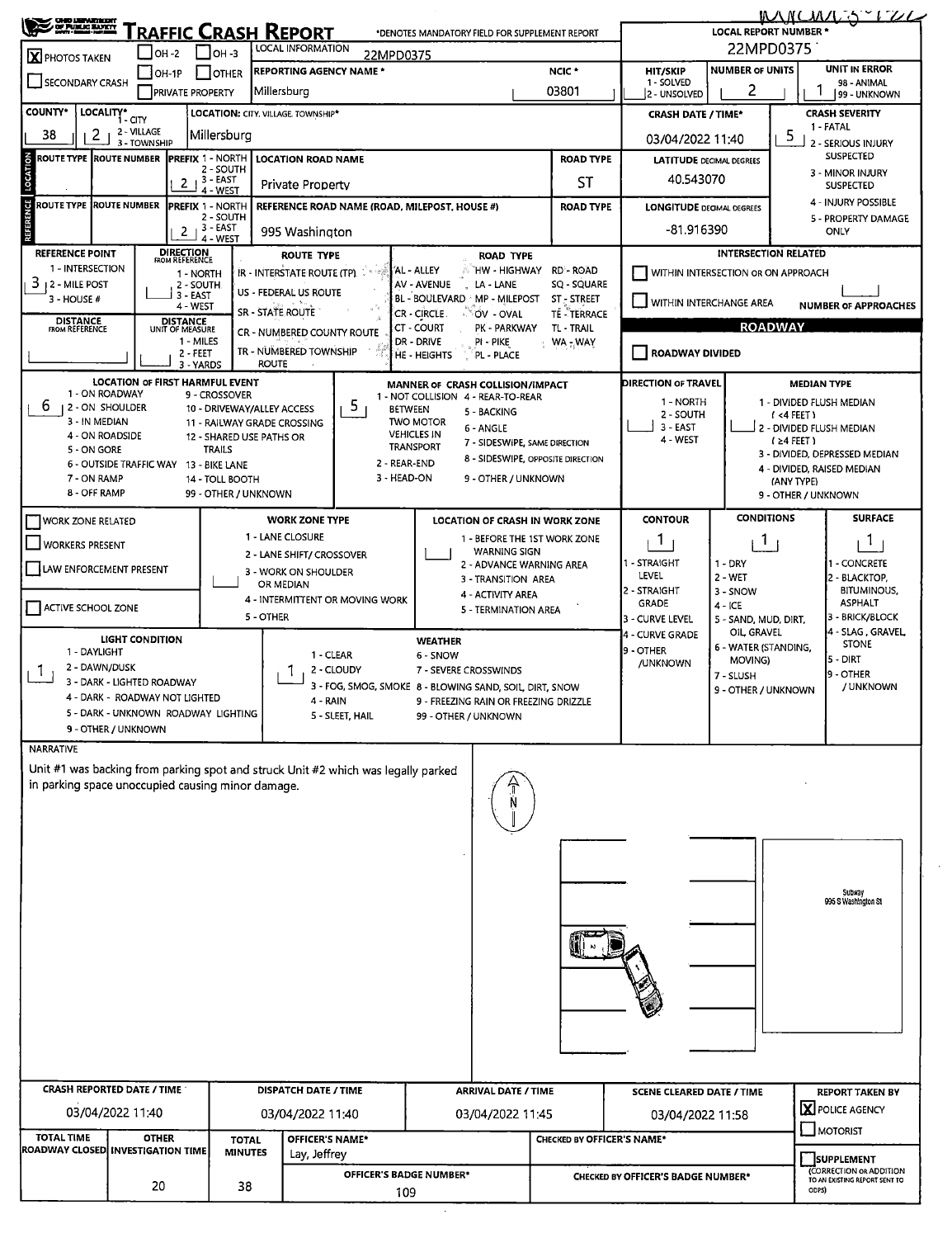| 22MPD0375<br><b>LOCAL INFORMATION</b><br>$IOH - 2$<br>$IOH - 3$<br>22MPD0375<br>X PHOTOS TAKEN<br><b>UNIT IN ERROR</b><br><b>NUMBER OF UNITS</b><br>NCIC <sup>*</sup><br><b>REPORTING AGENCY NAME *</b><br><b>HIT/SKIP</b><br>$[OH-1P]$<br>I JOTHER<br>SECONDARY CRASH<br>1 - SOLVED<br>98 - ANIMAL<br>2<br>03801<br>Millersburg<br><b>PRIVATE PROPERTY</b><br>2 - UNSOLVED<br>99 - UNKNOWN<br>LOCALITY* CITY<br>LOCATION: CITY. VILLAGE. TOWNSHIP*<br><b>CRASH SEVERITY</b><br><b>CRASH DATE / TIME*</b><br>1 - FATAL<br>2 - VILLAGE<br>2<br>Millersburg<br>5<br>38<br>03/04/2022 11:40<br>2 - SERIOUS INJURY<br>3 - TOWNSHIP<br>SUSPECTED<br><b>ROUTE TYPE ROUTE NUMBER</b><br><b>IPREFIX 1 - NORTH</b><br><b>ROAD TYPE</b><br><b>LOCATION ROAD NAME</b><br><b>LATITUDE DECIMAL DEGREES</b><br>2 - SOUTH<br>3 - MINOR INJURY<br>40.543070<br>$2 + 3 - EAST$<br>ST<br>Private Property<br><b>SUSPECTED</b><br>4 - WEST<br>4 - INJURY POSSIBLE<br><b>ROUTE TYPE ROUTE NUMBER</b><br><b>IPREFIX 1 - NORTH</b><br>REFERENCE ROAD NAME (ROAD, MILEPOST, HOUSE #)<br><b>ROAD TYPE</b><br><b>LONGITUDE DECIMAL DEGREES</b><br>2 - SOUTH<br>5 - PROPERTY DAMAGE<br>$2 + 3 - EAST$<br>-81.916390<br><b>ONLY</b><br>995 Washington<br>4 - WEST<br><b>DIRECTION</b><br>FROM REFERENCE<br><b>INTERSECTION RELATED</b><br><b>REFERENCE POINT</b><br><b>ROUTE TYPE</b><br><b>ROAD TYPE</b><br>1 - INTERSECTION<br>AL - ALLEY<br>`HW - HIGHWAY RD - ROAD<br>IR - INTERSTATE ROUTE (TP).<br>WITHIN INTERSECTION OR ON APPROACH<br>1 - NORTH<br>3.<br>12 - MILE POST<br>AV - AVENUE<br>LA - LANE<br>SQ - SQUARE<br>2 - SOUTH<br>US - FEDERAL US ROUTE<br>3 - EAST<br>3 - HOUSE #<br>BL - BOULEVARD MP - MILEPOST<br>ST - STREET<br>WITHIN INTERCHANGE AREA<br><b>NUMBER OF APPROACHES</b><br>4 - WEST<br>SR - STATE ROUTE<br>CR - CIRCLE.<br><b>TÉ - TERRACE</b><br>∴®OV - OVAL<br><b>DISTANCE</b><br><b>DISTANCE</b><br>UNIT OF MEASURE<br><b>ROADWAY</b><br>CT - COURT<br>PK - PARKWAY<br>TL - TRAIL<br><b>FROM REFERENCE</b><br>CR - NUMBERED COUNTY ROUTE<br>1 - MILES<br>DR - DRIVE<br>PI - PIKE<br>WA - WAY<br>TR - NUMBERED TOWNSHIP<br><b>ROADWAY DIVIDED</b><br>2 - FEET<br>HE - HEIGHTS<br>PL - PLACE<br><b>ROUTE</b><br>3 - YARDS<br><b>LOCATION OF FIRST HARMFUL EVENT</b><br><b>DIRECTION OF TRAVEL</b><br><b>MEDIAN TYPE</b><br>MANNER OF CRASH COLLISION/IMPACT<br>1 - ON ROADWAY<br>9 - CROSSOVER<br>1 - NOT COLLISION 4 - REAR-TO-REAR<br>1 - NORTH<br>1 - DIVIDED FLUSH MEDIAN<br>5.<br>b<br>1 2 - ON SHOULDER<br>10 - DRIVEWAY/ALLEY ACCESS<br><b>BETWEEN</b><br>5 - BACKING<br>2 - SOUTH<br>(4FET)<br>3 - IN MEDIAN<br><b>TWO MOTOR</b><br>11 - RAILWAY GRADE CROSSING<br>$3 - EAST$<br>J 2 - DIVIDED FLUSH MEDIAN<br>6 - ANGLE<br><b>VEHICLES IN</b><br>4 - ON ROADSIDE<br>12 - SHARED USE PATHS OR<br>4 - WEST<br>$(24$ FEET)<br>7 - SIDESWIPE, SAME DIRECTION<br><b>TRANSPORT</b><br><b>TRAILS</b><br>5 - ON GORE<br>3 - DIVIDED, DEPRESSED MEDIAN<br>8 - SIDESWIPE, OPPOSITE DIRECTION<br>2 - REAR-END<br>6 - OUTSIDE TRAFFIC WAY 13 - BIKE LANE<br>4 - DIVIDED, RAISED MEDIAN<br>3 - HEAD-ON<br>7 - ON RAMP<br>14 - TOLL BOOTH<br>9 - OTHER / UNKNOWN<br>(ANY TYPE)<br>8 - OFF RAMP<br>99 - OTHER / UNKNOWN<br>9 - OTHER / UNKNOWN<br><b>CONDITIONS</b><br><b>SURFACE</b><br><b>CONTOUR</b><br><b>WORK ZONE TYPE</b><br><b>LOCATION OF CRASH IN WORK ZONE</b><br><b>WORK ZONE RELATED</b><br>1 - LANE CLOSURE<br>1 - BEFORE THE 1ST WORK ZONE<br>1<br><sup>1</sup><br>1.<br><b>WORKERS PRESENT</b><br><b>WARNING SIGN</b><br>2 - LANE SHIFT/ CROSSOVER<br>1 - STRAIGHT<br>$1 - DRY$<br>1 - CONCRETE<br>2 - ADVANCE WARNING AREA<br><b>LAW ENFORCEMENT PRESENT</b><br>3 - WORK ON SHOULDER<br><b>LEVEL</b><br>$2 - WET$<br>2 - BLACKTOP,<br>3 - TRANSITION AREA<br>OR MEDIAN<br>2 - STRAIGHT<br><b>BITUMINOUS,</b><br>3 - SNOW<br>4 - ACTIVITY AREA<br>4 - INTERMITTENT OR MOVING WORK<br><b>GRADE</b><br><b>ASPHALT</b><br>$4 - ICE$<br><b>ACTIVE SCHOOL ZONE</b><br>5 - TERMINATION AREA<br>5 - OTHER<br>3 - BRICK/BLOCK<br>3 - CURVE LEVEL<br>5 - SAND, MUD, DIRT,<br>OIL GRAVEL<br>4 - SLAG , GRAVEL,<br>4 - CURVE GRADE<br><b>LIGHT CONDITION</b><br>WEATHER<br><b>STONE</b><br>6 - WATER (STANDING,<br>9 - OTHER<br>1 - DAYLIGHT<br>1 - CLEAR<br>6 - SNOW<br> 5 DIRT<br>MOVING)<br><b>/UNKNOWN</b><br>2 - DAWN/DUSK<br>2 - CLOUDY<br>7 - SEVERE CROSSWINDS<br>9 - OTHER<br>7 - SLUSH<br>3 - DARK - LIGHTED ROADWAY<br>3 - FOG, SMOG, SMOKE 8 - BLOWING SAND, SOIL, DIRT, SNOW<br>/ UNKNOWN<br>9 - OTHER / UNKNOWN<br>4 - DARK - ROADWAY NOT LIGHTED<br>9 - FREEZING RAIN OR FREEZING DRIZZLE<br>4 - RAIN<br>5 - DARK - UNKNOWN ROADWAY LIGHTING<br>5 - SLEET, HAIL<br>99 - OTHER / UNKNOWN<br>9 - OTHER / UNKNOWN<br><b>NARRATIVE</b><br>Unit #1 was backing from parking spot and struck Unit #2 which was legally parked<br>in parking space unoccupied causing minor damage.<br>Subway<br>995 S Washington St<br><b>CRASH REPORTED DATE / TIME</b><br><b>DISPATCH DATE / TIME</b><br><b>ARRIVAL DATE / TIME</b><br><b>SCENE CLEARED DATE / TIME</b><br><b>REPORT TAKEN BY</b><br>X POLICE AGENCY<br>03/04/2022 11:40<br>03/04/2022 11:40<br>03/04/2022 11:45<br>03/04/2022 11:58<br>MOTORIST<br>TOTAL TIME<br><b>OTHER</b><br>OFFICER'S NAME*<br>CHECKED BY OFFICER'S NAME*<br><b>TOTAL</b><br>ROADWAY CLOSED INVESTIGATION TIME<br><b>MINUTES</b><br>Lay, Jeffrey<br>SUPPLEMENT<br>(CORRECTION OR ADDITION<br>OFFICER'S BADGE NUMBER*<br>CHECKED BY OFFICER'S BADGE NUMBER*<br>TO AN EXISTING REPORT SENT TO<br>20<br>38<br>ODPS)<br>109 | <b>CHO DEFARMOR</b><br>Of PU <u>KIC BANKY</u> |  |  |  |  |  | <b>RAFFIC CRASH REPORT</b> |  |  |  |  | *DENOTES MANDATORY FIELD FOR SUPPLEMENT REPORT |  | LOCAL REPORT NUMBER * |  | <u>MNUMESSIZL</u> |  |  |  |
|-------------------------------------------------------------------------------------------------------------------------------------------------------------------------------------------------------------------------------------------------------------------------------------------------------------------------------------------------------------------------------------------------------------------------------------------------------------------------------------------------------------------------------------------------------------------------------------------------------------------------------------------------------------------------------------------------------------------------------------------------------------------------------------------------------------------------------------------------------------------------------------------------------------------------------------------------------------------------------------------------------------------------------------------------------------------------------------------------------------------------------------------------------------------------------------------------------------------------------------------------------------------------------------------------------------------------------------------------------------------------------------------------------------------------------------------------------------------------------------------------------------------------------------------------------------------------------------------------------------------------------------------------------------------------------------------------------------------------------------------------------------------------------------------------------------------------------------------------------------------------------------------------------------------------------------------------------------------------------------------------------------------------------------------------------------------------------------------------------------------------------------------------------------------------------------------------------------------------------------------------------------------------------------------------------------------------------------------------------------------------------------------------------------------------------------------------------------------------------------------------------------------------------------------------------------------------------------------------------------------------------------------------------------------------------------------------------------------------------------------------------------------------------------------------------------------------------------------------------------------------------------------------------------------------------------------------------------------------------------------------------------------------------------------------------------------------------------------------------------------------------------------------------------------------------------------------------------------------------------------------------------------------------------------------------------------------------------------------------------------------------------------------------------------------------------------------------------------------------------------------------------------------------------------------------------------------------------------------------------------------------------------------------------------------------------------------------------------------------------------------------------------------------------------------------------------------------------------------------------------------------------------------------------------------------------------------------------------------------------------------------------------------------------------------------------------------------------------------------------------------------------------------------------------------------------------------------------------------------------------------------------------------------------------------------------------------------------------------------------------------------------------------------------------------------------------------------------------------------------------------------------------------------------------------------------------------------------------------------------------------------------------------------------------------------------------------------------------------------------------------------------------------------------------------------------------------------------------------------------------------------------------------------------------------------------------------------------------------------------------------------------------------------------------------------------------------------------------------------------------------------------------------------------------------------------------------------------------------------------------------------------------------------------------------------------------------------------------------------------------------------------------------------------------------------------------------------------------------------------------------------------------------------------------------------------|-----------------------------------------------|--|--|--|--|--|----------------------------|--|--|--|--|------------------------------------------------|--|-----------------------|--|-------------------|--|--|--|
|                                                                                                                                                                                                                                                                                                                                                                                                                                                                                                                                                                                                                                                                                                                                                                                                                                                                                                                                                                                                                                                                                                                                                                                                                                                                                                                                                                                                                                                                                                                                                                                                                                                                                                                                                                                                                                                                                                                                                                                                                                                                                                                                                                                                                                                                                                                                                                                                                                                                                                                                                                                                                                                                                                                                                                                                                                                                                                                                                                                                                                                                                                                                                                                                                                                                                                                                                                                                                                                                                                                                                                                                                                                                                                                                                                                                                                                                                                                                                                                                                                                                                                                                                                                                                                                                                                                                                                                                                                                                                                                                                                                                                                                                                                                                                                                                                                                                                                                                                                                                                                                                                                                                                                                                                                                                                                                                                                                                                                                                                                                                                             |                                               |  |  |  |  |  |                            |  |  |  |  |                                                |  |                       |  |                   |  |  |  |
|                                                                                                                                                                                                                                                                                                                                                                                                                                                                                                                                                                                                                                                                                                                                                                                                                                                                                                                                                                                                                                                                                                                                                                                                                                                                                                                                                                                                                                                                                                                                                                                                                                                                                                                                                                                                                                                                                                                                                                                                                                                                                                                                                                                                                                                                                                                                                                                                                                                                                                                                                                                                                                                                                                                                                                                                                                                                                                                                                                                                                                                                                                                                                                                                                                                                                                                                                                                                                                                                                                                                                                                                                                                                                                                                                                                                                                                                                                                                                                                                                                                                                                                                                                                                                                                                                                                                                                                                                                                                                                                                                                                                                                                                                                                                                                                                                                                                                                                                                                                                                                                                                                                                                                                                                                                                                                                                                                                                                                                                                                                                                             |                                               |  |  |  |  |  |                            |  |  |  |  |                                                |  |                       |  |                   |  |  |  |
|                                                                                                                                                                                                                                                                                                                                                                                                                                                                                                                                                                                                                                                                                                                                                                                                                                                                                                                                                                                                                                                                                                                                                                                                                                                                                                                                                                                                                                                                                                                                                                                                                                                                                                                                                                                                                                                                                                                                                                                                                                                                                                                                                                                                                                                                                                                                                                                                                                                                                                                                                                                                                                                                                                                                                                                                                                                                                                                                                                                                                                                                                                                                                                                                                                                                                                                                                                                                                                                                                                                                                                                                                                                                                                                                                                                                                                                                                                                                                                                                                                                                                                                                                                                                                                                                                                                                                                                                                                                                                                                                                                                                                                                                                                                                                                                                                                                                                                                                                                                                                                                                                                                                                                                                                                                                                                                                                                                                                                                                                                                                                             | COUNTY*                                       |  |  |  |  |  |                            |  |  |  |  |                                                |  |                       |  |                   |  |  |  |
|                                                                                                                                                                                                                                                                                                                                                                                                                                                                                                                                                                                                                                                                                                                                                                                                                                                                                                                                                                                                                                                                                                                                                                                                                                                                                                                                                                                                                                                                                                                                                                                                                                                                                                                                                                                                                                                                                                                                                                                                                                                                                                                                                                                                                                                                                                                                                                                                                                                                                                                                                                                                                                                                                                                                                                                                                                                                                                                                                                                                                                                                                                                                                                                                                                                                                                                                                                                                                                                                                                                                                                                                                                                                                                                                                                                                                                                                                                                                                                                                                                                                                                                                                                                                                                                                                                                                                                                                                                                                                                                                                                                                                                                                                                                                                                                                                                                                                                                                                                                                                                                                                                                                                                                                                                                                                                                                                                                                                                                                                                                                                             |                                               |  |  |  |  |  |                            |  |  |  |  |                                                |  |                       |  |                   |  |  |  |
|                                                                                                                                                                                                                                                                                                                                                                                                                                                                                                                                                                                                                                                                                                                                                                                                                                                                                                                                                                                                                                                                                                                                                                                                                                                                                                                                                                                                                                                                                                                                                                                                                                                                                                                                                                                                                                                                                                                                                                                                                                                                                                                                                                                                                                                                                                                                                                                                                                                                                                                                                                                                                                                                                                                                                                                                                                                                                                                                                                                                                                                                                                                                                                                                                                                                                                                                                                                                                                                                                                                                                                                                                                                                                                                                                                                                                                                                                                                                                                                                                                                                                                                                                                                                                                                                                                                                                                                                                                                                                                                                                                                                                                                                                                                                                                                                                                                                                                                                                                                                                                                                                                                                                                                                                                                                                                                                                                                                                                                                                                                                                             |                                               |  |  |  |  |  |                            |  |  |  |  |                                                |  |                       |  |                   |  |  |  |
|                                                                                                                                                                                                                                                                                                                                                                                                                                                                                                                                                                                                                                                                                                                                                                                                                                                                                                                                                                                                                                                                                                                                                                                                                                                                                                                                                                                                                                                                                                                                                                                                                                                                                                                                                                                                                                                                                                                                                                                                                                                                                                                                                                                                                                                                                                                                                                                                                                                                                                                                                                                                                                                                                                                                                                                                                                                                                                                                                                                                                                                                                                                                                                                                                                                                                                                                                                                                                                                                                                                                                                                                                                                                                                                                                                                                                                                                                                                                                                                                                                                                                                                                                                                                                                                                                                                                                                                                                                                                                                                                                                                                                                                                                                                                                                                                                                                                                                                                                                                                                                                                                                                                                                                                                                                                                                                                                                                                                                                                                                                                                             | LOCATION                                      |  |  |  |  |  |                            |  |  |  |  |                                                |  |                       |  |                   |  |  |  |
|                                                                                                                                                                                                                                                                                                                                                                                                                                                                                                                                                                                                                                                                                                                                                                                                                                                                                                                                                                                                                                                                                                                                                                                                                                                                                                                                                                                                                                                                                                                                                                                                                                                                                                                                                                                                                                                                                                                                                                                                                                                                                                                                                                                                                                                                                                                                                                                                                                                                                                                                                                                                                                                                                                                                                                                                                                                                                                                                                                                                                                                                                                                                                                                                                                                                                                                                                                                                                                                                                                                                                                                                                                                                                                                                                                                                                                                                                                                                                                                                                                                                                                                                                                                                                                                                                                                                                                                                                                                                                                                                                                                                                                                                                                                                                                                                                                                                                                                                                                                                                                                                                                                                                                                                                                                                                                                                                                                                                                                                                                                                                             |                                               |  |  |  |  |  |                            |  |  |  |  |                                                |  |                       |  |                   |  |  |  |
|                                                                                                                                                                                                                                                                                                                                                                                                                                                                                                                                                                                                                                                                                                                                                                                                                                                                                                                                                                                                                                                                                                                                                                                                                                                                                                                                                                                                                                                                                                                                                                                                                                                                                                                                                                                                                                                                                                                                                                                                                                                                                                                                                                                                                                                                                                                                                                                                                                                                                                                                                                                                                                                                                                                                                                                                                                                                                                                                                                                                                                                                                                                                                                                                                                                                                                                                                                                                                                                                                                                                                                                                                                                                                                                                                                                                                                                                                                                                                                                                                                                                                                                                                                                                                                                                                                                                                                                                                                                                                                                                                                                                                                                                                                                                                                                                                                                                                                                                                                                                                                                                                                                                                                                                                                                                                                                                                                                                                                                                                                                                                             | <b>REFERENCE</b>                              |  |  |  |  |  |                            |  |  |  |  |                                                |  |                       |  |                   |  |  |  |
|                                                                                                                                                                                                                                                                                                                                                                                                                                                                                                                                                                                                                                                                                                                                                                                                                                                                                                                                                                                                                                                                                                                                                                                                                                                                                                                                                                                                                                                                                                                                                                                                                                                                                                                                                                                                                                                                                                                                                                                                                                                                                                                                                                                                                                                                                                                                                                                                                                                                                                                                                                                                                                                                                                                                                                                                                                                                                                                                                                                                                                                                                                                                                                                                                                                                                                                                                                                                                                                                                                                                                                                                                                                                                                                                                                                                                                                                                                                                                                                                                                                                                                                                                                                                                                                                                                                                                                                                                                                                                                                                                                                                                                                                                                                                                                                                                                                                                                                                                                                                                                                                                                                                                                                                                                                                                                                                                                                                                                                                                                                                                             |                                               |  |  |  |  |  |                            |  |  |  |  |                                                |  |                       |  |                   |  |  |  |
|                                                                                                                                                                                                                                                                                                                                                                                                                                                                                                                                                                                                                                                                                                                                                                                                                                                                                                                                                                                                                                                                                                                                                                                                                                                                                                                                                                                                                                                                                                                                                                                                                                                                                                                                                                                                                                                                                                                                                                                                                                                                                                                                                                                                                                                                                                                                                                                                                                                                                                                                                                                                                                                                                                                                                                                                                                                                                                                                                                                                                                                                                                                                                                                                                                                                                                                                                                                                                                                                                                                                                                                                                                                                                                                                                                                                                                                                                                                                                                                                                                                                                                                                                                                                                                                                                                                                                                                                                                                                                                                                                                                                                                                                                                                                                                                                                                                                                                                                                                                                                                                                                                                                                                                                                                                                                                                                                                                                                                                                                                                                                             |                                               |  |  |  |  |  |                            |  |  |  |  |                                                |  |                       |  |                   |  |  |  |
|                                                                                                                                                                                                                                                                                                                                                                                                                                                                                                                                                                                                                                                                                                                                                                                                                                                                                                                                                                                                                                                                                                                                                                                                                                                                                                                                                                                                                                                                                                                                                                                                                                                                                                                                                                                                                                                                                                                                                                                                                                                                                                                                                                                                                                                                                                                                                                                                                                                                                                                                                                                                                                                                                                                                                                                                                                                                                                                                                                                                                                                                                                                                                                                                                                                                                                                                                                                                                                                                                                                                                                                                                                                                                                                                                                                                                                                                                                                                                                                                                                                                                                                                                                                                                                                                                                                                                                                                                                                                                                                                                                                                                                                                                                                                                                                                                                                                                                                                                                                                                                                                                                                                                                                                                                                                                                                                                                                                                                                                                                                                                             |                                               |  |  |  |  |  |                            |  |  |  |  |                                                |  |                       |  |                   |  |  |  |
|                                                                                                                                                                                                                                                                                                                                                                                                                                                                                                                                                                                                                                                                                                                                                                                                                                                                                                                                                                                                                                                                                                                                                                                                                                                                                                                                                                                                                                                                                                                                                                                                                                                                                                                                                                                                                                                                                                                                                                                                                                                                                                                                                                                                                                                                                                                                                                                                                                                                                                                                                                                                                                                                                                                                                                                                                                                                                                                                                                                                                                                                                                                                                                                                                                                                                                                                                                                                                                                                                                                                                                                                                                                                                                                                                                                                                                                                                                                                                                                                                                                                                                                                                                                                                                                                                                                                                                                                                                                                                                                                                                                                                                                                                                                                                                                                                                                                                                                                                                                                                                                                                                                                                                                                                                                                                                                                                                                                                                                                                                                                                             |                                               |  |  |  |  |  |                            |  |  |  |  |                                                |  |                       |  |                   |  |  |  |
|                                                                                                                                                                                                                                                                                                                                                                                                                                                                                                                                                                                                                                                                                                                                                                                                                                                                                                                                                                                                                                                                                                                                                                                                                                                                                                                                                                                                                                                                                                                                                                                                                                                                                                                                                                                                                                                                                                                                                                                                                                                                                                                                                                                                                                                                                                                                                                                                                                                                                                                                                                                                                                                                                                                                                                                                                                                                                                                                                                                                                                                                                                                                                                                                                                                                                                                                                                                                                                                                                                                                                                                                                                                                                                                                                                                                                                                                                                                                                                                                                                                                                                                                                                                                                                                                                                                                                                                                                                                                                                                                                                                                                                                                                                                                                                                                                                                                                                                                                                                                                                                                                                                                                                                                                                                                                                                                                                                                                                                                                                                                                             |                                               |  |  |  |  |  |                            |  |  |  |  |                                                |  |                       |  |                   |  |  |  |
|                                                                                                                                                                                                                                                                                                                                                                                                                                                                                                                                                                                                                                                                                                                                                                                                                                                                                                                                                                                                                                                                                                                                                                                                                                                                                                                                                                                                                                                                                                                                                                                                                                                                                                                                                                                                                                                                                                                                                                                                                                                                                                                                                                                                                                                                                                                                                                                                                                                                                                                                                                                                                                                                                                                                                                                                                                                                                                                                                                                                                                                                                                                                                                                                                                                                                                                                                                                                                                                                                                                                                                                                                                                                                                                                                                                                                                                                                                                                                                                                                                                                                                                                                                                                                                                                                                                                                                                                                                                                                                                                                                                                                                                                                                                                                                                                                                                                                                                                                                                                                                                                                                                                                                                                                                                                                                                                                                                                                                                                                                                                                             |                                               |  |  |  |  |  |                            |  |  |  |  |                                                |  |                       |  |                   |  |  |  |
|                                                                                                                                                                                                                                                                                                                                                                                                                                                                                                                                                                                                                                                                                                                                                                                                                                                                                                                                                                                                                                                                                                                                                                                                                                                                                                                                                                                                                                                                                                                                                                                                                                                                                                                                                                                                                                                                                                                                                                                                                                                                                                                                                                                                                                                                                                                                                                                                                                                                                                                                                                                                                                                                                                                                                                                                                                                                                                                                                                                                                                                                                                                                                                                                                                                                                                                                                                                                                                                                                                                                                                                                                                                                                                                                                                                                                                                                                                                                                                                                                                                                                                                                                                                                                                                                                                                                                                                                                                                                                                                                                                                                                                                                                                                                                                                                                                                                                                                                                                                                                                                                                                                                                                                                                                                                                                                                                                                                                                                                                                                                                             |                                               |  |  |  |  |  |                            |  |  |  |  |                                                |  |                       |  |                   |  |  |  |
|                                                                                                                                                                                                                                                                                                                                                                                                                                                                                                                                                                                                                                                                                                                                                                                                                                                                                                                                                                                                                                                                                                                                                                                                                                                                                                                                                                                                                                                                                                                                                                                                                                                                                                                                                                                                                                                                                                                                                                                                                                                                                                                                                                                                                                                                                                                                                                                                                                                                                                                                                                                                                                                                                                                                                                                                                                                                                                                                                                                                                                                                                                                                                                                                                                                                                                                                                                                                                                                                                                                                                                                                                                                                                                                                                                                                                                                                                                                                                                                                                                                                                                                                                                                                                                                                                                                                                                                                                                                                                                                                                                                                                                                                                                                                                                                                                                                                                                                                                                                                                                                                                                                                                                                                                                                                                                                                                                                                                                                                                                                                                             |                                               |  |  |  |  |  |                            |  |  |  |  |                                                |  |                       |  |                   |  |  |  |
|                                                                                                                                                                                                                                                                                                                                                                                                                                                                                                                                                                                                                                                                                                                                                                                                                                                                                                                                                                                                                                                                                                                                                                                                                                                                                                                                                                                                                                                                                                                                                                                                                                                                                                                                                                                                                                                                                                                                                                                                                                                                                                                                                                                                                                                                                                                                                                                                                                                                                                                                                                                                                                                                                                                                                                                                                                                                                                                                                                                                                                                                                                                                                                                                                                                                                                                                                                                                                                                                                                                                                                                                                                                                                                                                                                                                                                                                                                                                                                                                                                                                                                                                                                                                                                                                                                                                                                                                                                                                                                                                                                                                                                                                                                                                                                                                                                                                                                                                                                                                                                                                                                                                                                                                                                                                                                                                                                                                                                                                                                                                                             |                                               |  |  |  |  |  |                            |  |  |  |  |                                                |  |                       |  |                   |  |  |  |
|                                                                                                                                                                                                                                                                                                                                                                                                                                                                                                                                                                                                                                                                                                                                                                                                                                                                                                                                                                                                                                                                                                                                                                                                                                                                                                                                                                                                                                                                                                                                                                                                                                                                                                                                                                                                                                                                                                                                                                                                                                                                                                                                                                                                                                                                                                                                                                                                                                                                                                                                                                                                                                                                                                                                                                                                                                                                                                                                                                                                                                                                                                                                                                                                                                                                                                                                                                                                                                                                                                                                                                                                                                                                                                                                                                                                                                                                                                                                                                                                                                                                                                                                                                                                                                                                                                                                                                                                                                                                                                                                                                                                                                                                                                                                                                                                                                                                                                                                                                                                                                                                                                                                                                                                                                                                                                                                                                                                                                                                                                                                                             |                                               |  |  |  |  |  |                            |  |  |  |  |                                                |  |                       |  |                   |  |  |  |
|                                                                                                                                                                                                                                                                                                                                                                                                                                                                                                                                                                                                                                                                                                                                                                                                                                                                                                                                                                                                                                                                                                                                                                                                                                                                                                                                                                                                                                                                                                                                                                                                                                                                                                                                                                                                                                                                                                                                                                                                                                                                                                                                                                                                                                                                                                                                                                                                                                                                                                                                                                                                                                                                                                                                                                                                                                                                                                                                                                                                                                                                                                                                                                                                                                                                                                                                                                                                                                                                                                                                                                                                                                                                                                                                                                                                                                                                                                                                                                                                                                                                                                                                                                                                                                                                                                                                                                                                                                                                                                                                                                                                                                                                                                                                                                                                                                                                                                                                                                                                                                                                                                                                                                                                                                                                                                                                                                                                                                                                                                                                                             |                                               |  |  |  |  |  |                            |  |  |  |  |                                                |  |                       |  |                   |  |  |  |
|                                                                                                                                                                                                                                                                                                                                                                                                                                                                                                                                                                                                                                                                                                                                                                                                                                                                                                                                                                                                                                                                                                                                                                                                                                                                                                                                                                                                                                                                                                                                                                                                                                                                                                                                                                                                                                                                                                                                                                                                                                                                                                                                                                                                                                                                                                                                                                                                                                                                                                                                                                                                                                                                                                                                                                                                                                                                                                                                                                                                                                                                                                                                                                                                                                                                                                                                                                                                                                                                                                                                                                                                                                                                                                                                                                                                                                                                                                                                                                                                                                                                                                                                                                                                                                                                                                                                                                                                                                                                                                                                                                                                                                                                                                                                                                                                                                                                                                                                                                                                                                                                                                                                                                                                                                                                                                                                                                                                                                                                                                                                                             |                                               |  |  |  |  |  |                            |  |  |  |  |                                                |  |                       |  |                   |  |  |  |
|                                                                                                                                                                                                                                                                                                                                                                                                                                                                                                                                                                                                                                                                                                                                                                                                                                                                                                                                                                                                                                                                                                                                                                                                                                                                                                                                                                                                                                                                                                                                                                                                                                                                                                                                                                                                                                                                                                                                                                                                                                                                                                                                                                                                                                                                                                                                                                                                                                                                                                                                                                                                                                                                                                                                                                                                                                                                                                                                                                                                                                                                                                                                                                                                                                                                                                                                                                                                                                                                                                                                                                                                                                                                                                                                                                                                                                                                                                                                                                                                                                                                                                                                                                                                                                                                                                                                                                                                                                                                                                                                                                                                                                                                                                                                                                                                                                                                                                                                                                                                                                                                                                                                                                                                                                                                                                                                                                                                                                                                                                                                                             |                                               |  |  |  |  |  |                            |  |  |  |  |                                                |  |                       |  |                   |  |  |  |
|                                                                                                                                                                                                                                                                                                                                                                                                                                                                                                                                                                                                                                                                                                                                                                                                                                                                                                                                                                                                                                                                                                                                                                                                                                                                                                                                                                                                                                                                                                                                                                                                                                                                                                                                                                                                                                                                                                                                                                                                                                                                                                                                                                                                                                                                                                                                                                                                                                                                                                                                                                                                                                                                                                                                                                                                                                                                                                                                                                                                                                                                                                                                                                                                                                                                                                                                                                                                                                                                                                                                                                                                                                                                                                                                                                                                                                                                                                                                                                                                                                                                                                                                                                                                                                                                                                                                                                                                                                                                                                                                                                                                                                                                                                                                                                                                                                                                                                                                                                                                                                                                                                                                                                                                                                                                                                                                                                                                                                                                                                                                                             |                                               |  |  |  |  |  |                            |  |  |  |  |                                                |  |                       |  |                   |  |  |  |
|                                                                                                                                                                                                                                                                                                                                                                                                                                                                                                                                                                                                                                                                                                                                                                                                                                                                                                                                                                                                                                                                                                                                                                                                                                                                                                                                                                                                                                                                                                                                                                                                                                                                                                                                                                                                                                                                                                                                                                                                                                                                                                                                                                                                                                                                                                                                                                                                                                                                                                                                                                                                                                                                                                                                                                                                                                                                                                                                                                                                                                                                                                                                                                                                                                                                                                                                                                                                                                                                                                                                                                                                                                                                                                                                                                                                                                                                                                                                                                                                                                                                                                                                                                                                                                                                                                                                                                                                                                                                                                                                                                                                                                                                                                                                                                                                                                                                                                                                                                                                                                                                                                                                                                                                                                                                                                                                                                                                                                                                                                                                                             |                                               |  |  |  |  |  |                            |  |  |  |  |                                                |  |                       |  |                   |  |  |  |
|                                                                                                                                                                                                                                                                                                                                                                                                                                                                                                                                                                                                                                                                                                                                                                                                                                                                                                                                                                                                                                                                                                                                                                                                                                                                                                                                                                                                                                                                                                                                                                                                                                                                                                                                                                                                                                                                                                                                                                                                                                                                                                                                                                                                                                                                                                                                                                                                                                                                                                                                                                                                                                                                                                                                                                                                                                                                                                                                                                                                                                                                                                                                                                                                                                                                                                                                                                                                                                                                                                                                                                                                                                                                                                                                                                                                                                                                                                                                                                                                                                                                                                                                                                                                                                                                                                                                                                                                                                                                                                                                                                                                                                                                                                                                                                                                                                                                                                                                                                                                                                                                                                                                                                                                                                                                                                                                                                                                                                                                                                                                                             |                                               |  |  |  |  |  |                            |  |  |  |  |                                                |  |                       |  |                   |  |  |  |
|                                                                                                                                                                                                                                                                                                                                                                                                                                                                                                                                                                                                                                                                                                                                                                                                                                                                                                                                                                                                                                                                                                                                                                                                                                                                                                                                                                                                                                                                                                                                                                                                                                                                                                                                                                                                                                                                                                                                                                                                                                                                                                                                                                                                                                                                                                                                                                                                                                                                                                                                                                                                                                                                                                                                                                                                                                                                                                                                                                                                                                                                                                                                                                                                                                                                                                                                                                                                                                                                                                                                                                                                                                                                                                                                                                                                                                                                                                                                                                                                                                                                                                                                                                                                                                                                                                                                                                                                                                                                                                                                                                                                                                                                                                                                                                                                                                                                                                                                                                                                                                                                                                                                                                                                                                                                                                                                                                                                                                                                                                                                                             |                                               |  |  |  |  |  |                            |  |  |  |  |                                                |  |                       |  |                   |  |  |  |
|                                                                                                                                                                                                                                                                                                                                                                                                                                                                                                                                                                                                                                                                                                                                                                                                                                                                                                                                                                                                                                                                                                                                                                                                                                                                                                                                                                                                                                                                                                                                                                                                                                                                                                                                                                                                                                                                                                                                                                                                                                                                                                                                                                                                                                                                                                                                                                                                                                                                                                                                                                                                                                                                                                                                                                                                                                                                                                                                                                                                                                                                                                                                                                                                                                                                                                                                                                                                                                                                                                                                                                                                                                                                                                                                                                                                                                                                                                                                                                                                                                                                                                                                                                                                                                                                                                                                                                                                                                                                                                                                                                                                                                                                                                                                                                                                                                                                                                                                                                                                                                                                                                                                                                                                                                                                                                                                                                                                                                                                                                                                                             |                                               |  |  |  |  |  |                            |  |  |  |  |                                                |  |                       |  |                   |  |  |  |
|                                                                                                                                                                                                                                                                                                                                                                                                                                                                                                                                                                                                                                                                                                                                                                                                                                                                                                                                                                                                                                                                                                                                                                                                                                                                                                                                                                                                                                                                                                                                                                                                                                                                                                                                                                                                                                                                                                                                                                                                                                                                                                                                                                                                                                                                                                                                                                                                                                                                                                                                                                                                                                                                                                                                                                                                                                                                                                                                                                                                                                                                                                                                                                                                                                                                                                                                                                                                                                                                                                                                                                                                                                                                                                                                                                                                                                                                                                                                                                                                                                                                                                                                                                                                                                                                                                                                                                                                                                                                                                                                                                                                                                                                                                                                                                                                                                                                                                                                                                                                                                                                                                                                                                                                                                                                                                                                                                                                                                                                                                                                                             |                                               |  |  |  |  |  |                            |  |  |  |  |                                                |  |                       |  |                   |  |  |  |
|                                                                                                                                                                                                                                                                                                                                                                                                                                                                                                                                                                                                                                                                                                                                                                                                                                                                                                                                                                                                                                                                                                                                                                                                                                                                                                                                                                                                                                                                                                                                                                                                                                                                                                                                                                                                                                                                                                                                                                                                                                                                                                                                                                                                                                                                                                                                                                                                                                                                                                                                                                                                                                                                                                                                                                                                                                                                                                                                                                                                                                                                                                                                                                                                                                                                                                                                                                                                                                                                                                                                                                                                                                                                                                                                                                                                                                                                                                                                                                                                                                                                                                                                                                                                                                                                                                                                                                                                                                                                                                                                                                                                                                                                                                                                                                                                                                                                                                                                                                                                                                                                                                                                                                                                                                                                                                                                                                                                                                                                                                                                                             |                                               |  |  |  |  |  |                            |  |  |  |  |                                                |  |                       |  |                   |  |  |  |
|                                                                                                                                                                                                                                                                                                                                                                                                                                                                                                                                                                                                                                                                                                                                                                                                                                                                                                                                                                                                                                                                                                                                                                                                                                                                                                                                                                                                                                                                                                                                                                                                                                                                                                                                                                                                                                                                                                                                                                                                                                                                                                                                                                                                                                                                                                                                                                                                                                                                                                                                                                                                                                                                                                                                                                                                                                                                                                                                                                                                                                                                                                                                                                                                                                                                                                                                                                                                                                                                                                                                                                                                                                                                                                                                                                                                                                                                                                                                                                                                                                                                                                                                                                                                                                                                                                                                                                                                                                                                                                                                                                                                                                                                                                                                                                                                                                                                                                                                                                                                                                                                                                                                                                                                                                                                                                                                                                                                                                                                                                                                                             |                                               |  |  |  |  |  |                            |  |  |  |  |                                                |  |                       |  |                   |  |  |  |
|                                                                                                                                                                                                                                                                                                                                                                                                                                                                                                                                                                                                                                                                                                                                                                                                                                                                                                                                                                                                                                                                                                                                                                                                                                                                                                                                                                                                                                                                                                                                                                                                                                                                                                                                                                                                                                                                                                                                                                                                                                                                                                                                                                                                                                                                                                                                                                                                                                                                                                                                                                                                                                                                                                                                                                                                                                                                                                                                                                                                                                                                                                                                                                                                                                                                                                                                                                                                                                                                                                                                                                                                                                                                                                                                                                                                                                                                                                                                                                                                                                                                                                                                                                                                                                                                                                                                                                                                                                                                                                                                                                                                                                                                                                                                                                                                                                                                                                                                                                                                                                                                                                                                                                                                                                                                                                                                                                                                                                                                                                                                                             |                                               |  |  |  |  |  |                            |  |  |  |  |                                                |  |                       |  |                   |  |  |  |
|                                                                                                                                                                                                                                                                                                                                                                                                                                                                                                                                                                                                                                                                                                                                                                                                                                                                                                                                                                                                                                                                                                                                                                                                                                                                                                                                                                                                                                                                                                                                                                                                                                                                                                                                                                                                                                                                                                                                                                                                                                                                                                                                                                                                                                                                                                                                                                                                                                                                                                                                                                                                                                                                                                                                                                                                                                                                                                                                                                                                                                                                                                                                                                                                                                                                                                                                                                                                                                                                                                                                                                                                                                                                                                                                                                                                                                                                                                                                                                                                                                                                                                                                                                                                                                                                                                                                                                                                                                                                                                                                                                                                                                                                                                                                                                                                                                                                                                                                                                                                                                                                                                                                                                                                                                                                                                                                                                                                                                                                                                                                                             |                                               |  |  |  |  |  |                            |  |  |  |  |                                                |  |                       |  |                   |  |  |  |
|                                                                                                                                                                                                                                                                                                                                                                                                                                                                                                                                                                                                                                                                                                                                                                                                                                                                                                                                                                                                                                                                                                                                                                                                                                                                                                                                                                                                                                                                                                                                                                                                                                                                                                                                                                                                                                                                                                                                                                                                                                                                                                                                                                                                                                                                                                                                                                                                                                                                                                                                                                                                                                                                                                                                                                                                                                                                                                                                                                                                                                                                                                                                                                                                                                                                                                                                                                                                                                                                                                                                                                                                                                                                                                                                                                                                                                                                                                                                                                                                                                                                                                                                                                                                                                                                                                                                                                                                                                                                                                                                                                                                                                                                                                                                                                                                                                                                                                                                                                                                                                                                                                                                                                                                                                                                                                                                                                                                                                                                                                                                                             |                                               |  |  |  |  |  |                            |  |  |  |  |                                                |  |                       |  |                   |  |  |  |
|                                                                                                                                                                                                                                                                                                                                                                                                                                                                                                                                                                                                                                                                                                                                                                                                                                                                                                                                                                                                                                                                                                                                                                                                                                                                                                                                                                                                                                                                                                                                                                                                                                                                                                                                                                                                                                                                                                                                                                                                                                                                                                                                                                                                                                                                                                                                                                                                                                                                                                                                                                                                                                                                                                                                                                                                                                                                                                                                                                                                                                                                                                                                                                                                                                                                                                                                                                                                                                                                                                                                                                                                                                                                                                                                                                                                                                                                                                                                                                                                                                                                                                                                                                                                                                                                                                                                                                                                                                                                                                                                                                                                                                                                                                                                                                                                                                                                                                                                                                                                                                                                                                                                                                                                                                                                                                                                                                                                                                                                                                                                                             |                                               |  |  |  |  |  |                            |  |  |  |  |                                                |  |                       |  |                   |  |  |  |
|                                                                                                                                                                                                                                                                                                                                                                                                                                                                                                                                                                                                                                                                                                                                                                                                                                                                                                                                                                                                                                                                                                                                                                                                                                                                                                                                                                                                                                                                                                                                                                                                                                                                                                                                                                                                                                                                                                                                                                                                                                                                                                                                                                                                                                                                                                                                                                                                                                                                                                                                                                                                                                                                                                                                                                                                                                                                                                                                                                                                                                                                                                                                                                                                                                                                                                                                                                                                                                                                                                                                                                                                                                                                                                                                                                                                                                                                                                                                                                                                                                                                                                                                                                                                                                                                                                                                                                                                                                                                                                                                                                                                                                                                                                                                                                                                                                                                                                                                                                                                                                                                                                                                                                                                                                                                                                                                                                                                                                                                                                                                                             |                                               |  |  |  |  |  |                            |  |  |  |  |                                                |  |                       |  |                   |  |  |  |
|                                                                                                                                                                                                                                                                                                                                                                                                                                                                                                                                                                                                                                                                                                                                                                                                                                                                                                                                                                                                                                                                                                                                                                                                                                                                                                                                                                                                                                                                                                                                                                                                                                                                                                                                                                                                                                                                                                                                                                                                                                                                                                                                                                                                                                                                                                                                                                                                                                                                                                                                                                                                                                                                                                                                                                                                                                                                                                                                                                                                                                                                                                                                                                                                                                                                                                                                                                                                                                                                                                                                                                                                                                                                                                                                                                                                                                                                                                                                                                                                                                                                                                                                                                                                                                                                                                                                                                                                                                                                                                                                                                                                                                                                                                                                                                                                                                                                                                                                                                                                                                                                                                                                                                                                                                                                                                                                                                                                                                                                                                                                                             |                                               |  |  |  |  |  |                            |  |  |  |  |                                                |  |                       |  |                   |  |  |  |
|                                                                                                                                                                                                                                                                                                                                                                                                                                                                                                                                                                                                                                                                                                                                                                                                                                                                                                                                                                                                                                                                                                                                                                                                                                                                                                                                                                                                                                                                                                                                                                                                                                                                                                                                                                                                                                                                                                                                                                                                                                                                                                                                                                                                                                                                                                                                                                                                                                                                                                                                                                                                                                                                                                                                                                                                                                                                                                                                                                                                                                                                                                                                                                                                                                                                                                                                                                                                                                                                                                                                                                                                                                                                                                                                                                                                                                                                                                                                                                                                                                                                                                                                                                                                                                                                                                                                                                                                                                                                                                                                                                                                                                                                                                                                                                                                                                                                                                                                                                                                                                                                                                                                                                                                                                                                                                                                                                                                                                                                                                                                                             |                                               |  |  |  |  |  |                            |  |  |  |  |                                                |  |                       |  |                   |  |  |  |
|                                                                                                                                                                                                                                                                                                                                                                                                                                                                                                                                                                                                                                                                                                                                                                                                                                                                                                                                                                                                                                                                                                                                                                                                                                                                                                                                                                                                                                                                                                                                                                                                                                                                                                                                                                                                                                                                                                                                                                                                                                                                                                                                                                                                                                                                                                                                                                                                                                                                                                                                                                                                                                                                                                                                                                                                                                                                                                                                                                                                                                                                                                                                                                                                                                                                                                                                                                                                                                                                                                                                                                                                                                                                                                                                                                                                                                                                                                                                                                                                                                                                                                                                                                                                                                                                                                                                                                                                                                                                                                                                                                                                                                                                                                                                                                                                                                                                                                                                                                                                                                                                                                                                                                                                                                                                                                                                                                                                                                                                                                                                                             |                                               |  |  |  |  |  |                            |  |  |  |  |                                                |  |                       |  |                   |  |  |  |
|                                                                                                                                                                                                                                                                                                                                                                                                                                                                                                                                                                                                                                                                                                                                                                                                                                                                                                                                                                                                                                                                                                                                                                                                                                                                                                                                                                                                                                                                                                                                                                                                                                                                                                                                                                                                                                                                                                                                                                                                                                                                                                                                                                                                                                                                                                                                                                                                                                                                                                                                                                                                                                                                                                                                                                                                                                                                                                                                                                                                                                                                                                                                                                                                                                                                                                                                                                                                                                                                                                                                                                                                                                                                                                                                                                                                                                                                                                                                                                                                                                                                                                                                                                                                                                                                                                                                                                                                                                                                                                                                                                                                                                                                                                                                                                                                                                                                                                                                                                                                                                                                                                                                                                                                                                                                                                                                                                                                                                                                                                                                                             |                                               |  |  |  |  |  |                            |  |  |  |  |                                                |  |                       |  |                   |  |  |  |
|                                                                                                                                                                                                                                                                                                                                                                                                                                                                                                                                                                                                                                                                                                                                                                                                                                                                                                                                                                                                                                                                                                                                                                                                                                                                                                                                                                                                                                                                                                                                                                                                                                                                                                                                                                                                                                                                                                                                                                                                                                                                                                                                                                                                                                                                                                                                                                                                                                                                                                                                                                                                                                                                                                                                                                                                                                                                                                                                                                                                                                                                                                                                                                                                                                                                                                                                                                                                                                                                                                                                                                                                                                                                                                                                                                                                                                                                                                                                                                                                                                                                                                                                                                                                                                                                                                                                                                                                                                                                                                                                                                                                                                                                                                                                                                                                                                                                                                                                                                                                                                                                                                                                                                                                                                                                                                                                                                                                                                                                                                                                                             |                                               |  |  |  |  |  |                            |  |  |  |  |                                                |  |                       |  |                   |  |  |  |
|                                                                                                                                                                                                                                                                                                                                                                                                                                                                                                                                                                                                                                                                                                                                                                                                                                                                                                                                                                                                                                                                                                                                                                                                                                                                                                                                                                                                                                                                                                                                                                                                                                                                                                                                                                                                                                                                                                                                                                                                                                                                                                                                                                                                                                                                                                                                                                                                                                                                                                                                                                                                                                                                                                                                                                                                                                                                                                                                                                                                                                                                                                                                                                                                                                                                                                                                                                                                                                                                                                                                                                                                                                                                                                                                                                                                                                                                                                                                                                                                                                                                                                                                                                                                                                                                                                                                                                                                                                                                                                                                                                                                                                                                                                                                                                                                                                                                                                                                                                                                                                                                                                                                                                                                                                                                                                                                                                                                                                                                                                                                                             |                                               |  |  |  |  |  |                            |  |  |  |  |                                                |  |                       |  |                   |  |  |  |
|                                                                                                                                                                                                                                                                                                                                                                                                                                                                                                                                                                                                                                                                                                                                                                                                                                                                                                                                                                                                                                                                                                                                                                                                                                                                                                                                                                                                                                                                                                                                                                                                                                                                                                                                                                                                                                                                                                                                                                                                                                                                                                                                                                                                                                                                                                                                                                                                                                                                                                                                                                                                                                                                                                                                                                                                                                                                                                                                                                                                                                                                                                                                                                                                                                                                                                                                                                                                                                                                                                                                                                                                                                                                                                                                                                                                                                                                                                                                                                                                                                                                                                                                                                                                                                                                                                                                                                                                                                                                                                                                                                                                                                                                                                                                                                                                                                                                                                                                                                                                                                                                                                                                                                                                                                                                                                                                                                                                                                                                                                                                                             |                                               |  |  |  |  |  |                            |  |  |  |  |                                                |  |                       |  |                   |  |  |  |
|                                                                                                                                                                                                                                                                                                                                                                                                                                                                                                                                                                                                                                                                                                                                                                                                                                                                                                                                                                                                                                                                                                                                                                                                                                                                                                                                                                                                                                                                                                                                                                                                                                                                                                                                                                                                                                                                                                                                                                                                                                                                                                                                                                                                                                                                                                                                                                                                                                                                                                                                                                                                                                                                                                                                                                                                                                                                                                                                                                                                                                                                                                                                                                                                                                                                                                                                                                                                                                                                                                                                                                                                                                                                                                                                                                                                                                                                                                                                                                                                                                                                                                                                                                                                                                                                                                                                                                                                                                                                                                                                                                                                                                                                                                                                                                                                                                                                                                                                                                                                                                                                                                                                                                                                                                                                                                                                                                                                                                                                                                                                                             |                                               |  |  |  |  |  |                            |  |  |  |  |                                                |  |                       |  |                   |  |  |  |
|                                                                                                                                                                                                                                                                                                                                                                                                                                                                                                                                                                                                                                                                                                                                                                                                                                                                                                                                                                                                                                                                                                                                                                                                                                                                                                                                                                                                                                                                                                                                                                                                                                                                                                                                                                                                                                                                                                                                                                                                                                                                                                                                                                                                                                                                                                                                                                                                                                                                                                                                                                                                                                                                                                                                                                                                                                                                                                                                                                                                                                                                                                                                                                                                                                                                                                                                                                                                                                                                                                                                                                                                                                                                                                                                                                                                                                                                                                                                                                                                                                                                                                                                                                                                                                                                                                                                                                                                                                                                                                                                                                                                                                                                                                                                                                                                                                                                                                                                                                                                                                                                                                                                                                                                                                                                                                                                                                                                                                                                                                                                                             |                                               |  |  |  |  |  |                            |  |  |  |  |                                                |  |                       |  |                   |  |  |  |
|                                                                                                                                                                                                                                                                                                                                                                                                                                                                                                                                                                                                                                                                                                                                                                                                                                                                                                                                                                                                                                                                                                                                                                                                                                                                                                                                                                                                                                                                                                                                                                                                                                                                                                                                                                                                                                                                                                                                                                                                                                                                                                                                                                                                                                                                                                                                                                                                                                                                                                                                                                                                                                                                                                                                                                                                                                                                                                                                                                                                                                                                                                                                                                                                                                                                                                                                                                                                                                                                                                                                                                                                                                                                                                                                                                                                                                                                                                                                                                                                                                                                                                                                                                                                                                                                                                                                                                                                                                                                                                                                                                                                                                                                                                                                                                                                                                                                                                                                                                                                                                                                                                                                                                                                                                                                                                                                                                                                                                                                                                                                                             |                                               |  |  |  |  |  |                            |  |  |  |  |                                                |  |                       |  |                   |  |  |  |
|                                                                                                                                                                                                                                                                                                                                                                                                                                                                                                                                                                                                                                                                                                                                                                                                                                                                                                                                                                                                                                                                                                                                                                                                                                                                                                                                                                                                                                                                                                                                                                                                                                                                                                                                                                                                                                                                                                                                                                                                                                                                                                                                                                                                                                                                                                                                                                                                                                                                                                                                                                                                                                                                                                                                                                                                                                                                                                                                                                                                                                                                                                                                                                                                                                                                                                                                                                                                                                                                                                                                                                                                                                                                                                                                                                                                                                                                                                                                                                                                                                                                                                                                                                                                                                                                                                                                                                                                                                                                                                                                                                                                                                                                                                                                                                                                                                                                                                                                                                                                                                                                                                                                                                                                                                                                                                                                                                                                                                                                                                                                                             |                                               |  |  |  |  |  |                            |  |  |  |  |                                                |  |                       |  |                   |  |  |  |
|                                                                                                                                                                                                                                                                                                                                                                                                                                                                                                                                                                                                                                                                                                                                                                                                                                                                                                                                                                                                                                                                                                                                                                                                                                                                                                                                                                                                                                                                                                                                                                                                                                                                                                                                                                                                                                                                                                                                                                                                                                                                                                                                                                                                                                                                                                                                                                                                                                                                                                                                                                                                                                                                                                                                                                                                                                                                                                                                                                                                                                                                                                                                                                                                                                                                                                                                                                                                                                                                                                                                                                                                                                                                                                                                                                                                                                                                                                                                                                                                                                                                                                                                                                                                                                                                                                                                                                                                                                                                                                                                                                                                                                                                                                                                                                                                                                                                                                                                                                                                                                                                                                                                                                                                                                                                                                                                                                                                                                                                                                                                                             |                                               |  |  |  |  |  |                            |  |  |  |  |                                                |  |                       |  |                   |  |  |  |
|                                                                                                                                                                                                                                                                                                                                                                                                                                                                                                                                                                                                                                                                                                                                                                                                                                                                                                                                                                                                                                                                                                                                                                                                                                                                                                                                                                                                                                                                                                                                                                                                                                                                                                                                                                                                                                                                                                                                                                                                                                                                                                                                                                                                                                                                                                                                                                                                                                                                                                                                                                                                                                                                                                                                                                                                                                                                                                                                                                                                                                                                                                                                                                                                                                                                                                                                                                                                                                                                                                                                                                                                                                                                                                                                                                                                                                                                                                                                                                                                                                                                                                                                                                                                                                                                                                                                                                                                                                                                                                                                                                                                                                                                                                                                                                                                                                                                                                                                                                                                                                                                                                                                                                                                                                                                                                                                                                                                                                                                                                                                                             |                                               |  |  |  |  |  |                            |  |  |  |  |                                                |  |                       |  |                   |  |  |  |

 $\sim$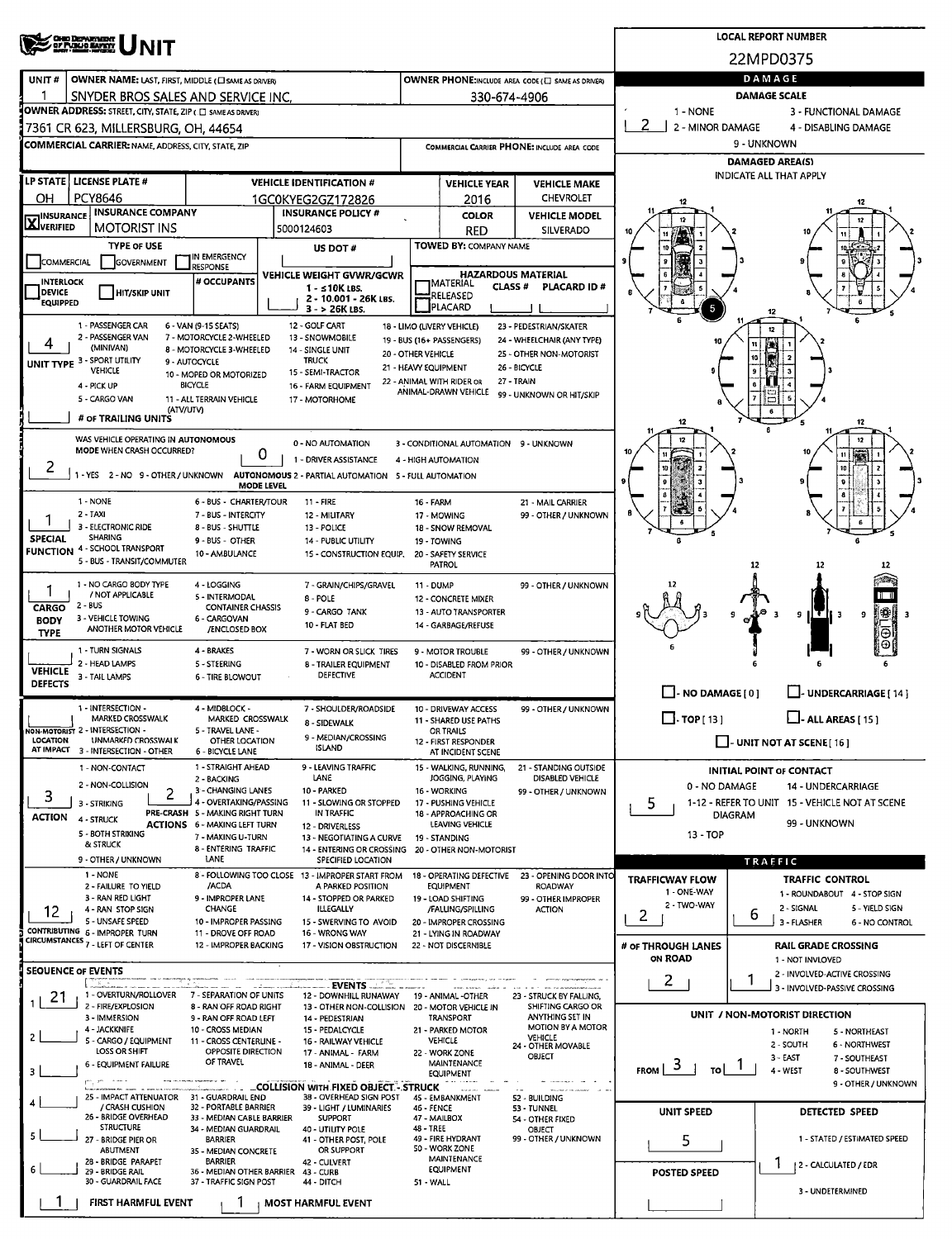|                                                                                                                                                                                                      | <b>CHIO DEPARTMENT</b><br>27 FUJUS EATETY                                                         |                                                                        |                   |                                                                         |                                             |                                                         |                                                      |                            |                | <b>LOCAL REPORT NUMBER</b>                                      |  |  |  |
|------------------------------------------------------------------------------------------------------------------------------------------------------------------------------------------------------|---------------------------------------------------------------------------------------------------|------------------------------------------------------------------------|-------------------|-------------------------------------------------------------------------|---------------------------------------------|---------------------------------------------------------|------------------------------------------------------|----------------------------|----------------|-----------------------------------------------------------------|--|--|--|
|                                                                                                                                                                                                      |                                                                                                   |                                                                        |                   |                                                                         |                                             |                                                         |                                                      |                            |                | 22MPD0375                                                       |  |  |  |
| UNIT#                                                                                                                                                                                                | OWNER NAME: LAST, FIRST, MIDDLE (CI SAME AS DRIVER)                                               |                                                                        | DAMAGE            |                                                                         |                                             |                                                         |                                                      |                            |                |                                                                 |  |  |  |
|                                                                                                                                                                                                      | SNYDER BROS SALES AND SERVICE INC.                                                                |                                                                        | 330-674-4906      | <b>DAMAGE SCALE</b>                                                     |                                             |                                                         |                                                      |                            |                |                                                                 |  |  |  |
|                                                                                                                                                                                                      | OWNER ADDRESS: STREET, CITY, STATE, ZIP ( C SAME AS DRIVER)                                       |                                                                        |                   |                                                                         |                                             |                                                         |                                                      | 1 - NONE                   |                | 3 - FUNCTIONAL DAMAGE                                           |  |  |  |
|                                                                                                                                                                                                      | 7361 CR 623, MILLERSBURG, OH, 44654<br><b>COMMERCIAL CARRIER: NAME, ADDRESS, CITY, STATE, ZIP</b> |                                                                        |                   |                                                                         | COMMERCIAL CARRIER PHONE: INCLUDE AREA CODE |                                                         |                                                      | 2 - MINOR DAMAGE           |                | 4 - DISABLING DAMAGE<br>9 - UNKNOWN                             |  |  |  |
|                                                                                                                                                                                                      |                                                                                                   |                                                                        |                   |                                                                         |                                             |                                                         |                                                      |                            |                | <b>DAMAGED AREA(S)</b>                                          |  |  |  |
|                                                                                                                                                                                                      | LP STATE   LICENSE PLATE #                                                                        |                                                                        |                   | <b>VEHICLE IDENTIFICATION #</b>                                         |                                             | <b>VEHICLE YEAR</b>                                     | <b>VEHICLE MAKE</b>                                  |                            |                | <b>INDICATE ALL THAT APPLY</b>                                  |  |  |  |
| ΟН                                                                                                                                                                                                   | PCY8646                                                                                           |                                                                        |                   | 1GC0KYEG2GZ172826                                                       |                                             | 2016                                                    | <b>CHEVROLET</b>                                     | 12                         |                |                                                                 |  |  |  |
| <b>INSURANCE</b><br>X <sup>IIVSO</sup> IVERIFIED                                                                                                                                                     | <b>INSURANCE COMPANY</b>                                                                          |                                                                        |                   | <b>INSURANCE POLICY #</b>                                               |                                             | <b>COLOR</b>                                            | <b>VEHICLE MODEL</b>                                 | 12                         |                |                                                                 |  |  |  |
|                                                                                                                                                                                                      | <b>MOTORIST INS</b>                                                                               |                                                                        | 5000124603        |                                                                         |                                             | <b>RED</b>                                              | SILVERADO                                            |                            |                |                                                                 |  |  |  |
| <b>COMMERCIAL</b>                                                                                                                                                                                    | <b>TYPE OF USE</b><br>GOVERNMENT                                                                  | In Emergency                                                           |                   | US DOT#                                                                 |                                             | <b>TOWED BY: COMPANY NAME</b>                           |                                                      |                            |                |                                                                 |  |  |  |
| <b>INTERLOCK</b>                                                                                                                                                                                     |                                                                                                   | <b>RESPONSE</b><br># OCCUPANTS                                         |                   | VEHICLE WEIGHT GVWR/GCWR                                                |                                             | <b>HAZARDOUS MATERIAL</b><br><b>IMATERIAL</b>           |                                                      |                            |                |                                                                 |  |  |  |
| <b>DEVICE</b><br><b>EQUIPPED</b>                                                                                                                                                                     | <b>HIT/SKIP UNIT</b>                                                                              |                                                                        |                   | 1 - ≤10K LBS.<br>2 - 10.001 - 26K LBS.                                  |                                             | <b>CLASS#</b><br>RELEASED                               | <b>PLACARD ID#</b>                                   |                            |                |                                                                 |  |  |  |
|                                                                                                                                                                                                      | 1 - PASSENGER CAR                                                                                 | 6 - VAN (9-15 SEATS)                                                   |                   | 3 - > 26K LBS.<br>12 - GOLF CART                                        |                                             | PLACARD                                                 |                                                      | 5                          |                |                                                                 |  |  |  |
|                                                                                                                                                                                                      | 2 - PASSENGER VAN                                                                                 | 7 - MOTORCYCLE 2-WHEELED                                               |                   | 13 - SNOWMOBILE                                                         |                                             | 18 - LIMO (LIVERY VEHICLE)<br>19 - BUS (16+ PASSENGERS) | 23 - PEDESTRIAN/SKATER<br>24 - WHEELCHAIR (ANY TYPE) | 10                         |                | 12                                                              |  |  |  |
| (MINIVAN)<br>8 - MOTORCYCLE 3-WHEELED<br>14 - SINGLE UNIT<br>20 - OTHER VEHICLE<br>25 - OTHER NON-MOTORIST<br>UNIT TYPE 3 - SPORT UTILITY<br><b>TRUCK</b><br>9 - AUTOCYCLE                           |                                                                                                   |                                                                        |                   |                                                                         |                                             |                                                         |                                                      |                            |                |                                                                 |  |  |  |
|                                                                                                                                                                                                      | VEHICLE                                                                                           | 10 - MOPED OR MOTORIZED                                                |                   | 15 - SEMI-TRACTOR                                                       | 21 - HEAVY EQUIPMENT                        |                                                         | 26 - BICYCLE<br>27 - TRAIN                           |                            |                |                                                                 |  |  |  |
| 22 - ANIMAL WITH RIDER OR<br>4 - PICK UP<br><b>BICYCLE</b><br>16 - FARM EQUIPMENT<br>ANIMAL-DRAWN VEHICLE<br>99 - UNKNOWN OR HIT/SKIP<br>5 - CARGO VAN<br>11 - ALL TERRAIN VEHICLE<br>17 - MOTORHOME |                                                                                                   |                                                                        |                   |                                                                         |                                             |                                                         |                                                      |                            |                |                                                                 |  |  |  |
|                                                                                                                                                                                                      | (ATV/UTV)<br># OF TRAILING UNITS                                                                  |                                                                        |                   |                                                                         |                                             |                                                         |                                                      | 12                         |                | 12                                                              |  |  |  |
|                                                                                                                                                                                                      | WAS VEHICLE OPERATING IN AUTONOMOUS                                                               |                                                                        |                   | 0 - NO AUTOMATION                                                       |                                             | 3 - CONDITIONAL AUTOMATION 9 - UNKNOWN                  |                                                      | 12                         |                |                                                                 |  |  |  |
|                                                                                                                                                                                                      | MODE WHEN CRASH OCCURRED?                                                                         |                                                                        | 0                 | 1 - DRIVER ASSISTANCE                                                   |                                             | 4 - HIGH AUTOMATION                                     |                                                      |                            |                |                                                                 |  |  |  |
| 2                                                                                                                                                                                                    | 1 - YES 2 - NO 9 - OTHER / UNKNOWN AUTONOMOUS 2 - PARTIAL AUTOMATION 5 - FULL AUTOMATION          |                                                                        |                   |                                                                         |                                             |                                                         |                                                      |                            |                |                                                                 |  |  |  |
|                                                                                                                                                                                                      | 1 - NONE                                                                                          | 6 - BUS - CHARTER/TOUR                                                 | <b>MODE LEVEL</b> | <b>11 - FIRE</b>                                                        | <b>16 - FARM</b>                            |                                                         | 21 - MAIL CARRIER                                    |                            |                |                                                                 |  |  |  |
|                                                                                                                                                                                                      | 2 - TAXI                                                                                          | 7 - BUS - INTERCITY                                                    |                   | 12 - MILITARY                                                           |                                             | 17 - MOWING                                             | 99 - OTHER / UNKNOWN                                 |                            |                |                                                                 |  |  |  |
| <b>SPECIAL</b>                                                                                                                                                                                       | 3 - ELECTRONIC RIDE<br>SHARING                                                                    | 8 - BUS - SHUTTLE<br>9 - BUS - OTHER                                   |                   | 13 - POLICE<br>14 - PUBLIC UTILITY                                      |                                             | 18 - SNOW REMOVAL<br>19 - TOWING                        |                                                      |                            |                |                                                                 |  |  |  |
| <b>FUNCTION</b>                                                                                                                                                                                      | 4 - SCHOOL TRANSPORT<br>5 - BUS - TRANSIT/COMMUTER                                                | 10 - AMBULANCE                                                         |                   | 15 - CONSTRUCTION EQUIP,                                                |                                             | 20 - SAFETY SERVICE                                     |                                                      |                            |                |                                                                 |  |  |  |
|                                                                                                                                                                                                      |                                                                                                   |                                                                        |                   |                                                                         |                                             | PATROL                                                  |                                                      |                            | 12             | 12                                                              |  |  |  |
|                                                                                                                                                                                                      | 1 - NO CARGO BODY TYPE<br>/ NOT APPLICABLE                                                        | 4 - LOGGING<br>5 - INTERMODAL                                          |                   | 7 - GRAIN/CHIPS/GRAVEL<br>8 - POLE                                      | 11 - DUMP                                   | 12 - CONCRETE MIXER                                     | 99 - OTHER / UNKNOWN                                 |                            |                |                                                                 |  |  |  |
| CARGO<br><b>BODY</b>                                                                                                                                                                                 | 2 - BUS<br>3 - VEHICLE TOWING                                                                     | <b>CONTAINER CHASSIS</b><br>6 - CARGOVAN                               |                   | 9 - CARGO TANK                                                          |                                             | 13 - AUTO TRANSPORTER                                   |                                                      |                            |                | ‼∰.<br>9<br>Е<br>9<br>-3                                        |  |  |  |
| <b>TYPE</b>                                                                                                                                                                                          | ANOTHER MOTOR VEHICLE                                                                             | /ENCLOSED BOX                                                          |                   | 10 - FLAT BED                                                           |                                             | 14 - GARBAGE/REFUSE                                     |                                                      |                            |                | Θ                                                               |  |  |  |
|                                                                                                                                                                                                      | 1 - TURN SIGNALS<br>2 - HEAD LAMPS                                                                | 4 - BRAKES<br>5 - STEERING                                             |                   | 7 - WORN OR SLICK TIRES<br>8 - TRAILER EQUIPMENT                        |                                             | 9 - MOTOR TROUBLE<br>10 - DISABLED FROM PRIOR           | 99 - OTHER / UNKNOWN                                 |                            |                |                                                                 |  |  |  |
| <b>VEHICLE</b><br><b>DEFECTS</b>                                                                                                                                                                     | 3 - TAIL LAMPS                                                                                    | <b>6 - TIRE BLOWOUT</b>                                                |                   | <b>DEFECTIVE</b>                                                        |                                             | <b>ACCIDENT</b>                                         |                                                      |                            |                |                                                                 |  |  |  |
|                                                                                                                                                                                                      |                                                                                                   |                                                                        |                   |                                                                         |                                             |                                                         |                                                      | $\Box$ - NO DAMAGE [ 0 ]   |                | UNDERCARRIAGE [ 14 ]                                            |  |  |  |
|                                                                                                                                                                                                      | 1 - INTERSECTION -<br>MARKED CROSSWALK                                                            | 4 - MIDBLOCK -<br>MARKED CROSSWALK                                     |                   | 7 - SHOULDER/ROADSIDE<br>8 - SIDEWALK                                   |                                             | 10 - DRIVEWAY ACCESS<br>11 - SHARED USE PATHS           | 99 - OTHER / UNKNOWN                                 | $\Box$ . TOP [ 13 ]        |                | $\Box$ - ALL AREAS [ 15 ]                                       |  |  |  |
| LOCATION                                                                                                                                                                                             | NON-MOTORIST 2 - INTERSECTION -<br>UNMARKED CROSSWALK                                             | 5 - TRAVEL LANE -<br>OTHER LOCATION                                    |                   | 9 - MEDIAN/CROSSING                                                     |                                             | OR TRAILS<br>12 - FIRST RESPONDER                       |                                                      |                            |                | $\Box$ - UNIT NOT AT SCENE [16]                                 |  |  |  |
| AT IMPACT                                                                                                                                                                                            | 3 - INTERSECTION - OTHER                                                                          | 6 - BICYCLE LANE                                                       |                   | <b>ISLAND</b>                                                           |                                             | AT INCIDENT SCENE                                       |                                                      |                            |                |                                                                 |  |  |  |
|                                                                                                                                                                                                      | 1 - NON-CONTACT<br>2 - NON-COLLISION                                                              | 1 - STRAIGHT AHEAD<br>2 - BACKING                                      |                   | 9 - LEAVING TRAFFIC<br>LANE                                             |                                             | 15 - WALKING, RUNNING,<br>JOGGING, PLAYING              | 21 - STANDING OUTSIDE<br>DISABLED VEHICLE            | 0 - NO DAMAGE              |                | <b>INITIAL POINT OF CONTACT</b><br><b>14 - UNDERCARRIAGE</b>    |  |  |  |
| 3                                                                                                                                                                                                    | 2<br>3 - STRIKING                                                                                 | 3 - CHANGING LANES<br>4 - OVERTAKING/PASSING                           |                   | 10 - PARKED<br>11 - SLOWING OR STOPPED                                  |                                             | 16 WORKING<br>17 - PUSHING VEHICLE                      | 99 - OTHER / UNKNOWN                                 | 5                          |                | 1-12 - REFER TO UNIT 15 - VEHICLE NOT AT SCENE                  |  |  |  |
| <b>ACTION</b>                                                                                                                                                                                        | 4 - STRUCK                                                                                        | PRE-CRASH 5 - MAKING RIGHT TURN<br><b>ACTIONS</b> 6 - MAKING LEFT TURN |                   | IN TRAFFIC<br>12 - DRIVERLESS                                           |                                             | 18 - APPROACHING OR<br><b>LEAVING VEHICLE</b>           |                                                      |                            | <b>DIAGRAM</b> | 99 - UNKNOWN                                                    |  |  |  |
|                                                                                                                                                                                                      | 5 - BOTH STRIKING<br>& STRUCK                                                                     | 7 - MAKING U-TURN                                                      |                   | 13 - NEGOTIATING A CURVE                                                |                                             | 19 - STANDING                                           |                                                      | 13 - TOP                   |                |                                                                 |  |  |  |
|                                                                                                                                                                                                      | 9 - OTHER / UNKNOWN                                                                               | 8 - ENTERING TRAFFIC<br>LANE                                           |                   | 14 - ENTERING OR CROSSING<br>SPECIFIED LOCATION                         |                                             | 20 - OTHER NON-MOTORIST                                 |                                                      |                            |                | TRAFFIC                                                         |  |  |  |
|                                                                                                                                                                                                      | 1 - NONE<br>2 - FAILURE TO YIELD                                                                  | /ACDA                                                                  |                   | 8 - FOLLOWING TOO CLOSE 13 - IMPROPER START FROM<br>A PARKED POSITION   |                                             | 18 - OPERATING DEFECTIVE<br>EQUIPMENT                   | 23 - OPENING DOOR INTO<br>ROADWAY                    | <b>TRAFFICWAY FLOW</b>     |                | <b>TRAFFIC CONTROL</b>                                          |  |  |  |
|                                                                                                                                                                                                      | 3 - RAN RED LIGHT                                                                                 | 9 - IMPROPER LANE                                                      |                   | 14 - STOPPED OR PARKED                                                  |                                             | 19 - LOAD SHIFTING                                      | 99 - OTHER IMPROPER                                  | 1 - ONE-WAY<br>2 - TWO-WAY |                | 1 - ROUNDABOUT 4 - STOP SIGN<br>2 - SIGNAL<br>5 - YIELD SIGN    |  |  |  |
| 12                                                                                                                                                                                                   | 4 - RAN STOP SIGN<br>5 - UNSAFE SPEED                                                             | CHANGE<br>10 - IMPROPER PASSING                                        |                   | <b>ILLEGALLY</b><br>15 - SWERVING TO AVOID                              |                                             | /FALLING/SPILLING<br>20 - IMPROPER CROSSING             | <b>ACTION</b>                                        | 2                          | 6              | 3 - FLASHER<br>6 - NO CONTROL                                   |  |  |  |
|                                                                                                                                                                                                      | CONTRIBUTING 6 - IMPROPER TURN<br>CIRCUMSTANCES 7 - LEFT OF CENTER                                | 11 - DROVE OFF ROAD<br>12 - IMPROPER BACKING                           |                   | 16 - WRONG WAY<br>17 - VISION OBSTRUCTION                               |                                             | 21 - LYING IN ROADWAY<br>22 - NOT DISCERNIBLE           |                                                      | # OF THROUGH LANES         |                | <b>RAIL GRADE CROSSING</b>                                      |  |  |  |
|                                                                                                                                                                                                      |                                                                                                   |                                                                        |                   |                                                                         |                                             |                                                         |                                                      | ON ROAD                    |                | 1 - NOT INVLOVED                                                |  |  |  |
| <b>SEQUENCE OF EVENTS</b>                                                                                                                                                                            |                                                                                                   |                                                                        |                   | EVENTS                                                                  |                                             |                                                         |                                                      | $\mathbf{2}$               |                | 2 - INVOLVED-ACTIVE CROSSING<br>3 - INVOLVED-PASSIVE CROSSING   |  |  |  |
| 21                                                                                                                                                                                                   | 1 - OVERTURN/ROLLOVER<br>2 - FIRE/EXPLOSION                                                       | 7 - SEPARATION OF UNITS<br>8 - RAN OFF ROAD RIGHT                      |                   | 12 - DOWNHILL RUNAWAY<br>13 - OTHER NON-COLLISION 20 - MOTOR VEHICLE IN |                                             | 19 - ANIMAL -OTHER                                      | 23 - STRUCK BY FALLING,<br>SHIFTING CARGO OR         |                            |                |                                                                 |  |  |  |
|                                                                                                                                                                                                      | 3 - IMMERSION<br>4 - JACKKNIFE                                                                    | 9 - RAN OFF ROAD LEFT<br>10 - CROSS MEDIAN                             |                   | 14 - PEDESTRIAN<br>15 - PEDALCYCLE                                      |                                             | TRANSPORT<br>21 - PARKED MOTOR                          | ANYTHING SET IN<br>MOTION BY A MOTOR                 |                            |                | UNIT / NON-MOTORIST DIRECTION                                   |  |  |  |
|                                                                                                                                                                                                      | 5 - CARGO / EQUIPMENT                                                                             | 11 - CROSS CENTERLINE -                                                |                   | 16 - RAILWAY VEHICLE                                                    |                                             | <b>VEHICLE</b>                                          | <b>VEHICLE</b><br>24 - OTHER MOVABLE                 |                            |                | 1 - NORTH<br>5 - NORTHEAST<br>2 - SOUTH<br><b>6 - NORTHWEST</b> |  |  |  |
|                                                                                                                                                                                                      | <b>LOSS OR SHIFT</b><br>6 - EQUIPMENT FAILURE                                                     | OPPOSITE DIRECTION<br>OF TRAVEL                                        |                   | 17 - ANIMAL - FARM<br>18 - ANIMAL - DEER                                |                                             | 22 - WORK ZONE<br>MAINTENANCE                           | OBJECT                                               | FROM $3$<br>τoΙ            |                | 3 - EAST<br>7 - SOUTHEAST                                       |  |  |  |
|                                                                                                                                                                                                      |                                                                                                   |                                                                        |                   | <b>COLLISION WITH FIXED OBJECT STRUCK</b>                               |                                             | <b>EQUIPMENT</b>                                        |                                                      |                            |                | 4 - WEST<br>8 - SOUTHWEST<br>9 - OTHER / UNKNOWN                |  |  |  |
|                                                                                                                                                                                                      | 25 - IMPACT ATTENUATOR 31 - GUARDRAIL END<br>/ CRASH CUSHION                                      | 32 - PORTABLE BARRIER                                                  |                   | 38 - OVERHEAD SIGN POST<br>39 - LIGHT / LUMINARIES                      | 46 - FENCE                                  | 45 - EMBANKMENT                                         | 52 - BUILDING<br>53 - TUNNEL                         |                            |                |                                                                 |  |  |  |
|                                                                                                                                                                                                      | 26 - BRIDGE OVERHEAD<br><b>STRUCTURE</b>                                                          | 33 - MEDIAN CABLE BARRIER<br>34 - MEDIAN GUARDRAIL                     |                   | <b>SUPPORT</b><br>40 - UTILITY POLE                                     | 47 - MAILBOX<br>48 - TREE                   |                                                         | 54 - OTHER FIXED<br>OBJECT                           | <b>UNIT SPEED</b>          |                | <b>DETECTED SPEED</b>                                           |  |  |  |
|                                                                                                                                                                                                      | 27 - BRIDGE PIER OR                                                                               | <b>BARRIER</b>                                                         |                   | 41 - OTHER POST, POLE                                                   |                                             | 49 - FIRE HYDRANT<br>50 - WORK ZONE                     | 99 - OTHER / UNKNOWN                                 | 5                          |                | 1 - STATED / ESTIMATED SPEED                                    |  |  |  |
|                                                                                                                                                                                                      | ABUTMENT<br>28 - BRIDGE PARAPET                                                                   | 35 - MEDIAN CONCRETE<br><b>BARRIER</b>                                 |                   | OR SUPPORT<br>42 - CULVERT                                              |                                             | MAINTENANCE<br><b>EQUIPMENT</b>                         |                                                      |                            |                | 2 - CALCULATED / EDR                                            |  |  |  |
|                                                                                                                                                                                                      | 29 - BRIDGE RAIL<br>30 - GUARDRAIL FACE                                                           | 36 - MEDIAN OTHER BARRIER 43 - CURB<br>37 - TRAFFIC SIGN POST          |                   | 44 - DITCH                                                              | 51 - WALL                                   |                                                         |                                                      | POSTED SPEED               |                |                                                                 |  |  |  |
|                                                                                                                                                                                                      | FIRST HARMFUL EVENT                                                                               |                                                                        |                   | <b>MOST HARMFUL EVENT</b>                                               |                                             |                                                         |                                                      |                            |                | 3 - UNDETERMINED                                                |  |  |  |
|                                                                                                                                                                                                      |                                                                                                   |                                                                        |                   |                                                                         |                                             |                                                         |                                                      |                            |                |                                                                 |  |  |  |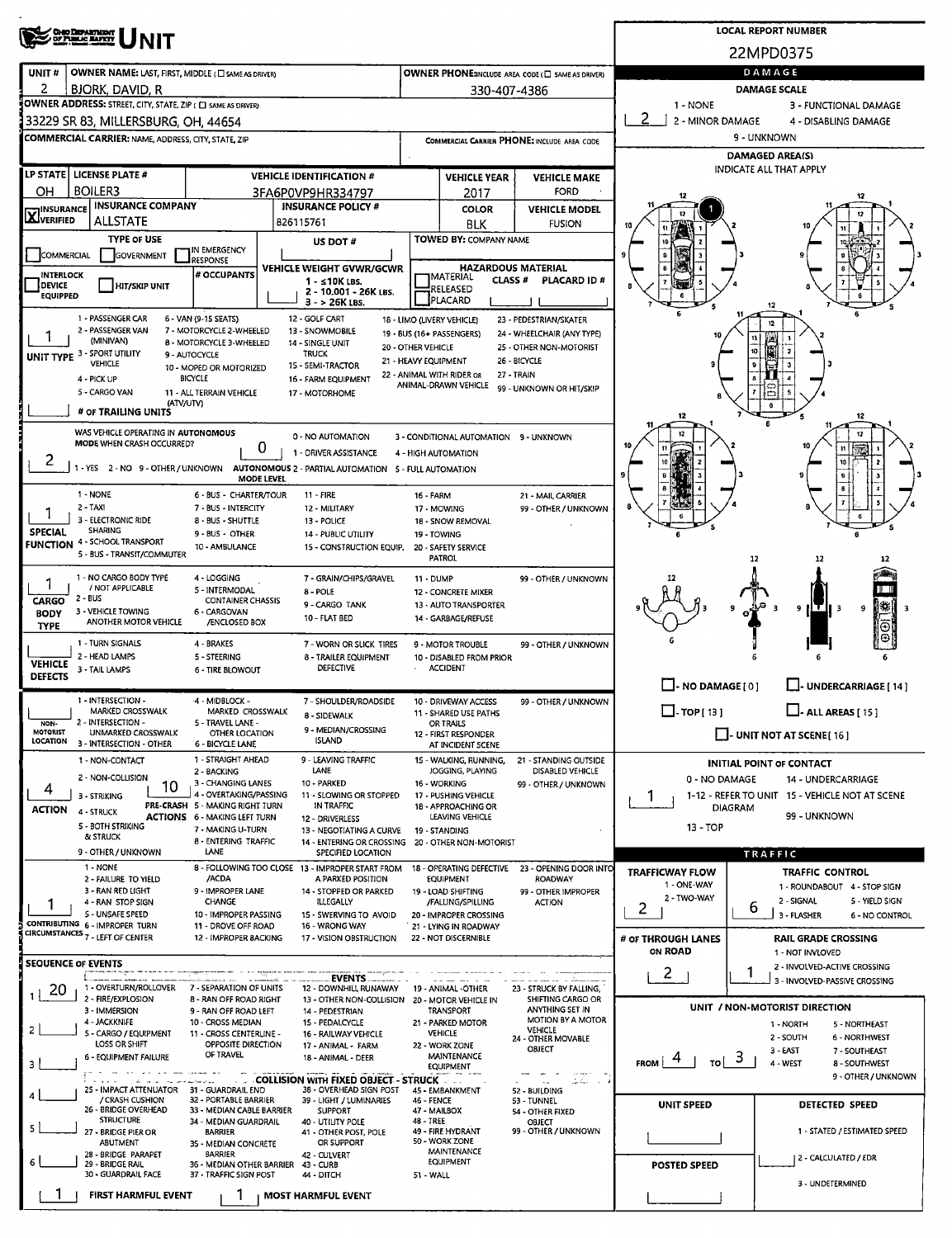| <b>OHO DEPARTMENT</b><br>OF PUBLIC EAPETY                                                           |                                                                        |                                                                         |                                            |                                               |                                                   |                                 | <b>LOCAL REPORT NUMBER</b>                                      |  |  |  |  |  |
|-----------------------------------------------------------------------------------------------------|------------------------------------------------------------------------|-------------------------------------------------------------------------|--------------------------------------------|-----------------------------------------------|---------------------------------------------------|---------------------------------|-----------------------------------------------------------------|--|--|--|--|--|
|                                                                                                     |                                                                        |                                                                         |                                            |                                               |                                                   |                                 | 22MPD0375                                                       |  |  |  |  |  |
| UNIT#<br>OWNER NAME: LAST, FIRST, MIDDLE ( C) SAME AS DRIVER)                                       |                                                                        |                                                                         |                                            |                                               | OWNER PHONE:INCLUDE AREA CODE (C) SAME AS DRIVER) |                                 | DAMAGE                                                          |  |  |  |  |  |
| 2<br><b>BJORK, DAVID, R</b>                                                                         |                                                                        | <b>DAMAGE SCALE</b>                                                     |                                            |                                               |                                                   |                                 |                                                                 |  |  |  |  |  |
| OWNER ADDRESS: STREET, CITY, STATE, ZIP ( C) SAME AS DRIVERY<br>33229 SR 83, MILLERSBURG, OH, 44654 |                                                                        |                                                                         |                                            |                                               |                                                   | 1 - NONE                        | 3 - FUNCTIONAL DAMAGE<br>4 - DISABLING DAMAGE                   |  |  |  |  |  |
| <b>COMMERCIAL CARRIER: NAME, ADDRESS, CITY, STATE, ZIP</b>                                          |                                                                        |                                                                         |                                            |                                               | COMMERCIAL CARRIER PHONE: INCLUDE AREA CODE       | 2 - MINOR DAMAGE<br>9 - UNKNOWN |                                                                 |  |  |  |  |  |
|                                                                                                     |                                                                        |                                                                         |                                            |                                               |                                                   |                                 | <b>DAMAGED AREA(S)</b>                                          |  |  |  |  |  |
| LP STATE   LICENSE PLATE #                                                                          |                                                                        | <b>VEHICLE IDENTIFICATION #</b>                                         |                                            | <b>VEHICLE YEAR</b>                           | <b>VEHICLE MAKE</b>                               |                                 | <b>INDICATE ALL THAT APPLY</b>                                  |  |  |  |  |  |
| <b>BOILER3</b><br>OН                                                                                |                                                                        | 3FA6P0VP9HR334797                                                       |                                            | 2017                                          | <b>FORD</b>                                       | 12                              |                                                                 |  |  |  |  |  |
| <b>INSURANCE COMPANY</b><br><b>X</b> INSURANCE<br><b>ALLSTATE</b>                                   |                                                                        | <b>INSURANCE POLICY #</b>                                               |                                            | <b>COLOR</b>                                  | <b>VEHICLE MODEL</b>                              | 12                              |                                                                 |  |  |  |  |  |
| <b>TYPE OF USE</b>                                                                                  |                                                                        | 826115761<br>US DOT#                                                    |                                            | <b>BLK</b><br>TOWED BY: COMPANY NAME          | <b>FUSION</b>                                     |                                 |                                                                 |  |  |  |  |  |
| COMMERCIAL<br><b>GOVERNMENT</b>                                                                     | IN EMERGENCY<br><b>RESPONSE</b>                                        |                                                                         |                                            |                                               |                                                   |                                 |                                                                 |  |  |  |  |  |
| <b>INTERLOCK</b>                                                                                    | # OCCUPANTS                                                            | <b>VEHICLE WEIGHT GVWR/GCWR</b><br>1 - ≤10K LBS.                        |                                            | <b>JMATERIAL</b><br><b>CLASS#</b>             | <b>HAZARDOUS MATERIAL</b><br>PLACARD ID#          |                                 |                                                                 |  |  |  |  |  |
| DEVICE<br><b>HIT/SKIP UNIT</b><br><b>EQUIPPED</b>                                                   |                                                                        | 2 - 10.001 - 26K LBS.                                                   |                                            | RELEASED<br>PLACARD                           |                                                   |                                 |                                                                 |  |  |  |  |  |
| 1 - PASSENGER CAR                                                                                   | 6 - VAN (9-15 SEATS)                                                   | $3 - 26K$ LBS.<br>12 - GOLF CART                                        |                                            | 18 - LIMO (LIVERY VEHICLE)                    | 23 - PEDESTRIAN/SKATER                            |                                 | 12                                                              |  |  |  |  |  |
| 2 - PASSENGER VAN<br>(MINIVAN)                                                                      | 7 - MOTORCYCLE 2-WHEELED<br><b>B - MOTORCYCLE 3-WHEELED</b>            | 13 - SNOWMOBILE                                                         |                                            | 19 - BUS (16+ PASSENGERS)                     | 24 - WHEELCHAIR (ANY TYPE)                        |                                 |                                                                 |  |  |  |  |  |
| UNIT TYPE 3 - SPORT UTILITY                                                                         | 9 - AUTOCYCLE                                                          | 14 - SINGLE UNIT<br><b>TRUCK</b>                                        | 20 - OTHER VEHICLE<br>21 - HEAVY EQUIPMENT |                                               | 25 - OTHER NON-MOTORIST<br>26 - BICYCLE           |                                 | 10 <sup>1</sup>                                                 |  |  |  |  |  |
| VEHICLE<br>4 - PICK UP                                                                              | 10 - MOPED OR MOTORIZED<br><b>BICYCLE</b>                              | 15 - SEMI-TRACTOR<br>16 - FARM EQUIPMENT                                |                                            | 22 - ANIMAL WITH RIDER OR                     | 27 - TRAIN                                        |                                 | 9                                                               |  |  |  |  |  |
| 5 - CARGO VAN                                                                                       | 11 - ALL TERRAIN VEHICLE                                               | 17 - MOTORHOME                                                          |                                            | ANIMAL-DRAWN VEHICLE                          | 99 - UNKNOWN OR HIT/SKIP                          |                                 | b                                                               |  |  |  |  |  |
| (ATV/UTV)<br># OF TRAILING UNITS                                                                    |                                                                        |                                                                         |                                            |                                               |                                                   | 12                              | 6<br>12                                                         |  |  |  |  |  |
| WAS VEHICLE OPERATING IN AUTONOMOUS                                                                 |                                                                        | 0 - NO AUTOMATION                                                       |                                            | 3 - CONDITIONAL AUTOMATION 9 - UNKNOWN        |                                                   | 12                              |                                                                 |  |  |  |  |  |
| MODE WHEN CRASH OCCURRED?<br>2                                                                      |                                                                        | 0<br>1 - DRIVER ASSISTANCE                                              | 4 - HIGH AUTOMATION                        |                                               |                                                   |                                 |                                                                 |  |  |  |  |  |
| 1 - YES 2 - NO 9 - OTHER / UNKNOWN                                                                  | MODE LEVEL                                                             | AUTONOMOUS 2 - PARTIAL AUTOMATION 5 - FULL AUTOMATION                   |                                            |                                               |                                                   |                                 |                                                                 |  |  |  |  |  |
| 1 - NONE                                                                                            | 6 - BUS - CHARTER/TOUR                                                 | <b>11 - FIRE</b>                                                        | <b>16 - FARM</b>                           |                                               | 21 - MAIL CARRIER                                 |                                 |                                                                 |  |  |  |  |  |
| 2 - TAXI<br>3 - ELECTRONIC RIDE                                                                     | 7 - BUS - INTERCITY                                                    | 12 - MILITARY                                                           |                                            | 17 - MOWING                                   | 99 - OTHER / UNKNOWN                              |                                 |                                                                 |  |  |  |  |  |
| <b>SHARING</b><br><b>SPECIAL</b>                                                                    | 8 - BUS - SHUTTLE<br>9 - BUS - OTHER                                   | 13 - POLICE<br>14 - PUBLIC UTILITY                                      |                                            | 18 - SNOW REMOVAL<br>19 - TOWING              |                                                   |                                 |                                                                 |  |  |  |  |  |
| <b>FUNCTION 4 - SCHOOL TRANSPORT</b><br>5 - BUS - TRANSIT/COMMUTER                                  | 10 - AMBULANCE                                                         | 15 - CONSTRUCTION EQUIP.                                                |                                            | 20 - SAFETY SERVICE<br>PATROL                 |                                                   |                                 | 12                                                              |  |  |  |  |  |
| 1 - NO CARGO BODY TYPE                                                                              | 4 - LOGGING                                                            | 7 - GRAIN/CHIPS/GRAVEL                                                  | 11 - DUMP                                  |                                               | 99 - OTHER / UNKNOWN                              |                                 |                                                                 |  |  |  |  |  |
| / NOT APPLICABLE<br>2 - BUS                                                                         | 5 - INTERMODAL                                                         | 8 - POLE                                                                |                                            | <b>12 - CONCRETE MIXER</b>                    |                                                   |                                 | H I                                                             |  |  |  |  |  |
| <b>CARGO</b><br>3 - VEHICLE TOWING<br><b>BODY</b>                                                   | <b>CONTAINER CHASSIS</b><br>6 - CARGOVAN                               | 9 - CARGO TANK<br>10 - FLAT BED                                         |                                            | 13 - AUTO TRANSPORTER<br>14 - GARBAGE/REFUSE  |                                                   |                                 | 43<br>-3<br>9<br>9                                              |  |  |  |  |  |
| ANOTHER MOTOR VEHICLE<br><b>TYPE</b>                                                                | /ENCLOSED BOX                                                          |                                                                         |                                            |                                               |                                                   |                                 | Θ                                                               |  |  |  |  |  |
| 1 - TURN SIGNALS<br>2 - HEAD LAMPS                                                                  | 4 - BRAKES<br>5 - STEERING                                             | 7 - WORN OR SLICK TIRES<br>8 - TRAILER EQUIPMENT                        |                                            | 9 - MOTOR TROUBLE<br>10 - DISABLED FROM PRIOR | 99 - OTHER / UNKNOWN                              |                                 |                                                                 |  |  |  |  |  |
| <b>VEHICLE</b><br>3 - TAIL LAMPS<br><b>DEFECTS</b>                                                  | <b>6 - TIRE BLOWOUT</b>                                                | <b>DEFECTIVE</b>                                                        |                                            | <b>ACCIDENT</b>                               |                                                   |                                 |                                                                 |  |  |  |  |  |
| 1 - INTERSECTION -                                                                                  | 4 - MIDBLOCK -                                                         | 7 - SHOULDER/ROADSIDE                                                   |                                            | 10 - DRIVEWAY ACCESS                          | 99 - OTHER / UNKNOWN                              | $\bigsqcup$ - NO DAMAGE [ 0 ]   | U-UNDERCARRIAGE [14]                                            |  |  |  |  |  |
| MARKED CROSSWALK                                                                                    | MARKED CROSSWALK                                                       | 8 - SIDEWALK                                                            |                                            | 11 - SHARED USE PATHS                         |                                                   | $\Box$ -TOP[13]                 | $\Box$ - ALL AREAS [ 15 ]                                       |  |  |  |  |  |
| 2 - INTERSECTION -<br>NON-<br><b>MOTORIST</b><br>UNMARKED CROSSWALK<br>LOCATION                     | 5 - TRAVEL LANE -<br>OTHER LOCATION                                    | 9 - MEDIAN/CROSSING<br><b>ISLAND</b>                                    |                                            | OR TRAILS<br>12 - FIRST RESPONDER             |                                                   |                                 | $\Box$ - UNIT NOT AT SCENE [16]                                 |  |  |  |  |  |
| 3 - INTERSECTION - OTHER<br>1 - NON-CONTACT                                                         | <b>6 - BICYCLE LANE</b><br>1 - STRAIGHT AHEAD                          | 9 - LEAVING TRAFFIC                                                     |                                            | AT INCIDENT SCENE<br>15 - WALKING, RUNNING,   | 21 - STANDING OUTSIDE                             |                                 |                                                                 |  |  |  |  |  |
| 2 - NON-COLLISION                                                                                   | 2 - BACKING                                                            | LANE                                                                    |                                            | JOGGING, PLAYING                              | DISABLED VEHICLE                                  | 0 - NO DAMAGE                   | <b>INITIAL POINT OF CONTACT</b><br>14 - UNDERCARRIAGE           |  |  |  |  |  |
| 10<br>4<br>3 - STRIKING                                                                             | 3 - CHANGING LANES<br>4 - OVERTAKING/PASSING                           | 10 - PARKED<br>11 - SLOWING OR STOPPED                                  |                                            | 16 - WORKING<br>17 - PUSHING VEHICLE          | 99 - OTHER / UNKNOWN                              | T.                              | 1-12 - REFER TO UNIT 15 - VEHICLE NOT AT SCENE                  |  |  |  |  |  |
| <b>ACTION</b><br>4 - STRUCK                                                                         | PRE-CRASH 5 - MAKING RIGHT TURN<br><b>ACTIONS 6 - MAKING LEFT TURN</b> | IN TRAFFIC<br>12 - DRIVERLESS                                           |                                            | 18 - APPROACHING OR<br>LEAVING VEHICLE        |                                                   |                                 | <b>DIAGRAM</b><br>99 - UNKNOWN                                  |  |  |  |  |  |
| 5 - BOTH STRIKING<br>& STRUCK                                                                       | 7 - MAKING U-TURN<br><b>8 - ENTERING TRAFFIC</b>                       | 13 - NEGOTIATING A CURVE                                                |                                            | 19 - STANDING                                 |                                                   | $13 - TOP$                      |                                                                 |  |  |  |  |  |
| 9 - OTHER / UNKNOWN                                                                                 | LANE                                                                   | 14 - ENTERING OR CROSSING 20 - OTHER NON-MOTORIST<br>SPECIFIED LOCATION |                                            |                                               |                                                   |                                 | TRAFFIC                                                         |  |  |  |  |  |
| 1 - NONE<br>2 - FAILURE TO YIELD                                                                    | /ACDA                                                                  | 8 - FOLLOWING TOO CLOSE 13 - IMPROPER START FROM<br>A PARKED POSITION   |                                            | 18 - OPERATING DEFECTIVE<br><b>EQUIPMENT</b>  | 23 - OPENING DOOR INTO<br><b>ROADWAY</b>          | <b>TRAFFICWAY FLOW</b>          | <b>TRAFFIC CONTROL</b>                                          |  |  |  |  |  |
| 3 - RAN RED LIGHT                                                                                   | 9 - IMPROPER LANE                                                      | 14 - STOPPED OR PARKED                                                  |                                            | 19 - LOAD SHIFTING                            | 99 - OTHER IMPROPER                               | 1 - ONE-WAY<br>2 - TWO-WAY      | 1 - ROUNDABOUT 4 - STOP SIGN<br>2 - SIGNAL<br>5 - YIELD SIGN    |  |  |  |  |  |
| 4 - RAN STOP SIGN<br>5 - UNSAFE SPEED                                                               | <b>CHANGE</b><br>10 - IMPROPER PASSING                                 | ILLEGALLY<br>15 - SWERVING TO AVOID                                     |                                            | /FALLING/SPILLING<br>20 - IMPROPER CROSSING   | <b>ACTION</b>                                     | 2                               | ь<br>3 - FLASHER<br>6 - NO CONTROL                              |  |  |  |  |  |
| CONTRIBUTING 6 - IMPROPER TURN<br>CIRCUMSTANCES 7 - LEFT OF CENTER                                  | 11 - DROVE OFF ROAD<br>12 - IMPROPER BACKING                           | 16 - WRONG WAY<br>17 - VISION OBSTRUCTION                               |                                            | 21 - LYING IN ROADWAY<br>22 - NOT DISCERNIBLE |                                                   | # OF THROUGH LANES              | <b>RAIL GRADE CROSSING</b>                                      |  |  |  |  |  |
|                                                                                                     |                                                                        |                                                                         |                                            |                                               |                                                   | ON ROAD                         | 1 - NOT INVLOVED                                                |  |  |  |  |  |
| <b>SEQUENCE OF EVENTS</b>                                                                           |                                                                        | <b>EVENTS.</b>                                                          |                                            |                                               |                                                   | $2 -$                           | 2 - INVOLVED-ACTIVE CROSSING<br>3 - INVOLVED-PASSIVE CROSSING   |  |  |  |  |  |
| 1 - OVERTURN/ROLLOVER<br>20<br>1<br>2 - FIRE/EXPLOSION                                              | 7 - SEPARATION OF UNITS<br>8 - RAN OFF ROAD RIGHT                      | 12 - DOWNHILL RUNAWAY<br>13 - OTHER NON-COLLISION 20 - MOTOR VEHICLE IN |                                            | 19 - ANIMAL -OTHER                            | 23 - STRUCK BY FALLING,<br>SHIFTING CARGO OR      |                                 |                                                                 |  |  |  |  |  |
| 3 - IMMERSION                                                                                       | 9 - RAN OFF ROAD LEFT                                                  | 14 - PEDESTRIAN                                                         |                                            | TRANSPORT                                     | ANYTHING SET IN<br>MOTION BY A MOTOR              |                                 | UNIT / NON-MOTORIST DIRECTION                                   |  |  |  |  |  |
| 4 - JACKKNIFE<br>2<br>5 - CARGO / EQUIPMENT                                                         | 10 - CROSS MEDIAN<br>11 - CROSS CENTERLINE -                           | 15 - PEDALCYCLE<br>16 - RAILWAY VEHICLE                                 |                                            | 21 - PARKED MOTOR<br><b>VEHICLE</b>           | <b>VEHICLE</b><br>24 - OTHER MOVABLE              |                                 | 1 - NORTH<br>5 - NORTHEAST<br>2 - SOUTH<br><b>6 - NORTHWEST</b> |  |  |  |  |  |
| LOSS OR SHIFT<br><b>6 - EQUIPMENT FAILURE</b>                                                       | OPPOSITE DIRECTION<br>OF TRAVEL                                        | 17 - ANIMAL - FARM<br>18 - ANIMAL - DEER                                |                                            | 22 - WORK ZONE<br>MAINTENANCE                 | OBJECT                                            | $F_{\text{ROM}}$   $4$          | 3 - EAST<br>7 - SOUTHEAST<br>್ರ                                 |  |  |  |  |  |
| 3<br>All and all the series                                                                         |                                                                        | <b>COLLISION WITH FIXED OBJECT - STRUCK AND THE</b>                     |                                            | <b>EQUIPMENT</b>                              | فالدا المككب                                      | TO                              | 4 - WEST<br>8 - SOUTHWEST<br>9 - OTHER / UNKNOWN                |  |  |  |  |  |
| 25 - IMPACT ATTENUATOR 31 - GUARDRAIL END<br>/ CRASH CUSHION                                        | 32 - PORTABLE BARRIER                                                  | 38 - OVERHEAD SIGN POST<br>39 - LIGHT / LUMINARIES                      | 46 - FENCE                                 | 45 - EMBANKMENT                               | <b>Dealer</b><br>52 - BUILDING<br>53 - TUNNEL     |                                 |                                                                 |  |  |  |  |  |
| 26 - BRIDGE OVERHEAD<br><b>STRUCTURE</b>                                                            | 33 - MEDIAN CABLE BARRIER                                              | <b>SUPPORT</b>                                                          | 48 - TREE                                  | 47 - MAILBOX                                  | 54 - OTHER FIXED                                  | UNIT SPEED                      | <b>DETECTED SPEED</b>                                           |  |  |  |  |  |
| 5<br>27 - BRIDGE PIER OR                                                                            | 34 - MEDIAN GUARDRAIL<br><b>BARRIER</b>                                | 40 - UTILITY POLE<br>41 - OTHER POST, POLE                              |                                            | 49 - FIRE HYDRANT                             | OBJECT<br>99 - OTHER / UNKNOWN                    |                                 | 1 - STATED / ESTIMATED SPEED                                    |  |  |  |  |  |
| ABUTMENT<br>28 - BRIDGE PARAPET                                                                     | 35 - MEDIAN CONCRETE<br><b>BARRIER</b>                                 | OR SUPPORT<br>42 - CULVERT                                              |                                            | 50 - WORK ZONE<br>MAINTENANCE                 |                                                   |                                 | 2 - CALCULATED / EDR                                            |  |  |  |  |  |
| 6<br>29 - BRIDGE RAIL<br>30 - GUARDRAIL FACE                                                        | 36 - MEDIAN OTHER BARRIER<br>37 - TRAFFIC SIGN POST                    | 43 - CURB<br>44 - DITCH                                                 | 51 - WALL                                  | <b>EQUIPMENT</b>                              |                                                   | <b>POSTED SPEED</b>             |                                                                 |  |  |  |  |  |
| <b>FIRST HARMFUL EVENT</b>                                                                          |                                                                        | <b>MOST HARMFUL EVENT</b>                                               |                                            |                                               |                                                   |                                 | 3 - UNDETERMINED                                                |  |  |  |  |  |
|                                                                                                     |                                                                        |                                                                         |                                            |                                               |                                                   |                                 |                                                                 |  |  |  |  |  |